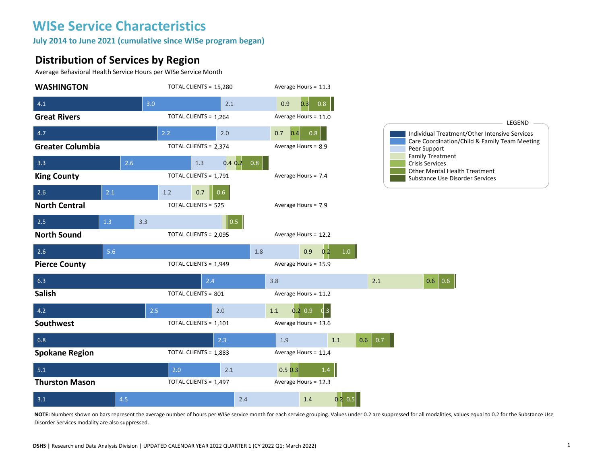**July 2014 to June 2021 (cumulative since WISe program began)** 

#### **Distribution of Services by Region**

Average Behavioral Health Service Hours per WISe Service Month



**NOTE:** Numbers shown on bars represent the average number of hours per WISe service month for each service grouping. Values under 0.2 are suppressed for all modalities, values equal to 0.2 for the Substance Use Disorder Services modality are also suppressed.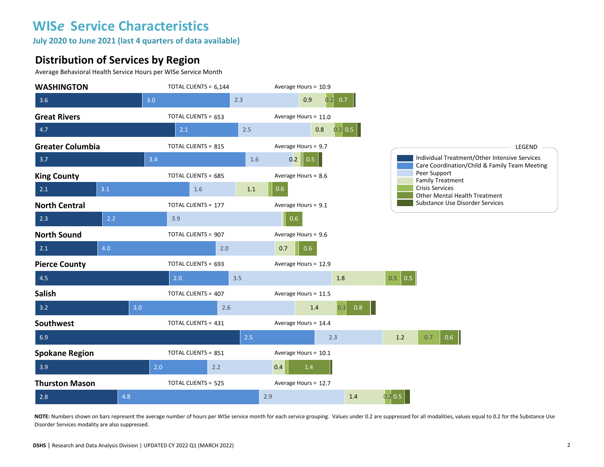**July 2020 to June 2021 (last 4 quarters of data available)**

#### **Distribution of Services by Region**

Average Behavioral Health Service Hours per WISe Service Month



**NOTE:** Numbers shown on bars represent the average number of hours per WISe service month for each service grouping. Values under 0.2 are suppressed for all modalities, values equal to 0.2 for the Substance Use Disorder Services modality are also suppressed.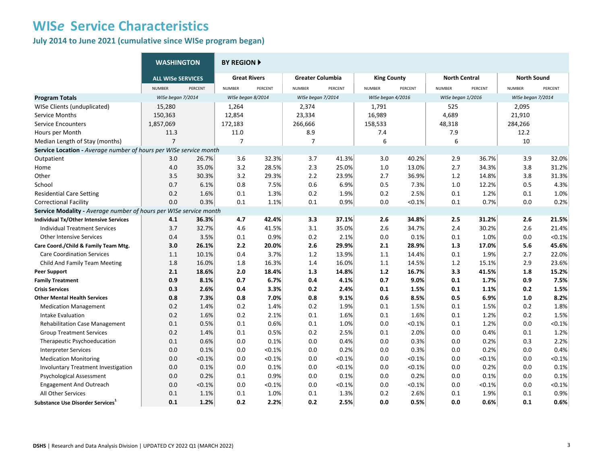**July 2014 to June 2021 (cumulative since WISe program began)** 

|                                                                   | <b>WASHINGTON</b>        |         | <b>BY REGION ▶</b>  |           |                         |           |                    |         |                      |         |                    |         |
|-------------------------------------------------------------------|--------------------------|---------|---------------------|-----------|-------------------------|-----------|--------------------|---------|----------------------|---------|--------------------|---------|
|                                                                   | <b>ALL WISE SERVICES</b> |         | <b>Great Rivers</b> |           | <b>Greater Columbia</b> |           | <b>King County</b> |         | <b>North Central</b> |         | <b>North Sound</b> |         |
|                                                                   | <b>NUMBER</b>            | PERCENT | <b>NUMBER</b>       | PERCENT   | <b>NUMBER</b>           | PERCENT   | <b>NUMBER</b>      | PERCENT | <b>NUMBER</b>        | PERCENT | <b>NUMBER</b>      | PERCENT |
| <b>Program Totals</b>                                             | WISe began 7/2014        |         | WISe began 8/2014   |           | WISe began 7/2014       |           | WISe began 4/2016  |         | WISe began 1/2016    |         | WISe began 7/2014  |         |
| WISe Clients (unduplicated)                                       | 15,280                   |         | 1,264               |           | 2,374                   |           | 1,791              |         | 525                  |         | 2,095              |         |
| Service Months                                                    | 150,363                  |         | 12,854              |           | 23,334                  |           | 16,989             |         | 4,689                |         | 21,910             |         |
| <b>Service Encounters</b>                                         | 1,857,069                |         | 172,183             |           | 266,666                 |           | 158,533            |         | 48,318               |         | 284,266            |         |
| Hours per Month                                                   | 11.3                     |         | 11.0                |           | 8.9                     |           | 7.4                |         | 7.9                  |         | 12.2               |         |
| Median Length of Stay (months)                                    | $\overline{7}$           |         | $\overline{7}$      |           | $\overline{7}$          |           | 6                  |         | 6                    |         | 10                 |         |
| Service Location - Average number of hours per WISe service month |                          |         |                     |           |                         |           |                    |         |                      |         |                    |         |
| Outpatient                                                        | 3.0                      | 26.7%   | 3.6                 | 32.3%     | 3.7                     | 41.3%     | 3.0                | 40.2%   | 2.9                  | 36.7%   | 3.9                | 32.0%   |
| Home                                                              | 4.0                      | 35.0%   | 3.2                 | 28.5%     | 2.3                     | 25.0%     | 1.0                | 13.0%   | 2.7                  | 34.3%   | 3.8                | 31.2%   |
| Other                                                             | 3.5                      | 30.3%   | 3.2                 | 29.3%     | 2.2                     | 23.9%     | 2.7                | 36.9%   | 1.2                  | 14.8%   | 3.8                | 31.3%   |
| School                                                            | 0.7                      | 6.1%    | 0.8                 | 7.5%      | 0.6                     | 6.9%      | 0.5                | 7.3%    | 1.0                  | 12.2%   | 0.5                | 4.3%    |
| <b>Residential Care Setting</b>                                   | 0.2                      | 1.6%    | 0.1                 | 1.3%      | 0.2                     | 1.9%      | 0.2                | 2.5%    | 0.1                  | 1.2%    | 0.1                | 1.0%    |
| <b>Correctional Facility</b>                                      | 0.0                      | 0.3%    | 0.1                 | 1.1%      | 0.1                     | 0.9%      | 0.0                | < 0.1%  | 0.1                  | 0.7%    | 0.0                | 0.2%    |
| Service Modality - Average number of hours per WISe service month |                          |         |                     |           |                         |           |                    |         |                      |         |                    |         |
| <b>Individual Tx/Other Intensive Services</b>                     | 4.1                      | 36.3%   | 4.7                 | 42.4%     | 3.3                     | 37.1%     | 2.6                | 34.8%   | 2.5                  | 31.2%   | 2.6                | 21.5%   |
| <b>Individual Treatment Services</b>                              | 3.7                      | 32.7%   | 4.6                 | 41.5%     | 3.1                     | 35.0%     | 2.6                | 34.7%   | 2.4                  | 30.2%   | 2.6                | 21.4%   |
| <b>Other Intensive Services</b>                                   | 0.4                      | 3.5%    | 0.1                 | 0.9%      | 0.2                     | 2.1%      | 0.0                | 0.1%    | 0.1                  | 1.0%    | 0.0                | < 0.1%  |
| Care Coord./Child & Family Team Mtg.                              | 3.0                      | 26.1%   | 2.2                 | 20.0%     | 2.6                     | 29.9%     | 2.1                | 28.9%   | 1.3                  | 17.0%   | 5.6                | 45.6%   |
| <b>Care Coordination Services</b>                                 | 1.1                      | 10.1%   | 0.4                 | 3.7%      | 1.2                     | 13.9%     | 1.1                | 14.4%   | 0.1                  | 1.9%    | 2.7                | 22.0%   |
| Child And Family Team Meeting                                     | 1.8                      | 16.0%   | 1.8                 | 16.3%     | 1.4                     | 16.0%     | $1.1\,$            | 14.5%   | $1.2\,$              | 15.1%   | 2.9                | 23.6%   |
| <b>Peer Support</b>                                               | 2.1                      | 18.6%   | 2.0                 | 18.4%     | 1.3                     | 14.8%     | $1.2$              | 16.7%   | 3.3                  | 41.5%   | 1.8                | 15.2%   |
| <b>Family Treatment</b>                                           | 0.9                      | 8.1%    | 0.7                 | 6.7%      | 0.4                     | 4.1%      | 0.7                | 9.0%    | 0.1                  | 1.7%    | 0.9                | 7.5%    |
| <b>Crisis Services</b>                                            | 0.3                      | 2.6%    | 0.4                 | 3.3%      | 0.2                     | 2.4%      | 0.1                | 1.5%    | 0.1                  | 1.1%    | 0.2                | 1.5%    |
| <b>Other Mental Health Services</b>                               | 0.8                      | 7.3%    | 0.8                 | 7.0%      | 0.8                     | 9.1%      | 0.6                | 8.5%    | 0.5                  | 6.9%    | 1.0                | 8.2%    |
| <b>Medication Management</b>                                      | 0.2                      | 1.4%    | 0.2                 | 1.4%      | 0.2                     | 1.9%      | 0.1                | 1.5%    | 0.1                  | 1.5%    | 0.2                | 1.8%    |
| Intake Evaluation                                                 | 0.2                      | 1.6%    | 0.2                 | 2.1%      | 0.1                     | 1.6%      | 0.1                | 1.6%    | 0.1                  | 1.2%    | 0.2                | 1.5%    |
| <b>Rehabilitation Case Management</b>                             | 0.1                      | 0.5%    | 0.1                 | 0.6%      | 0.1                     | 1.0%      | 0.0                | < 0.1%  | 0.1                  | 1.2%    | 0.0                | < 0.1%  |
| <b>Group Treatment Services</b>                                   | 0.2                      | 1.4%    | 0.1                 | 0.5%      | 0.2                     | 2.5%      | 0.1                | 2.0%    | 0.0                  | 0.4%    | 0.1                | 1.2%    |
| Therapeutic Psychoeducation                                       | 0.1                      | 0.6%    | 0.0                 | 0.1%      | 0.0                     | 0.4%      | 0.0                | 0.3%    | 0.0                  | 0.2%    | 0.3                | 2.2%    |
| <b>Interpreter Services</b>                                       | 0.0                      | 0.1%    | 0.0                 | < 0.1%    | 0.0                     | 0.2%      | 0.0                | 0.3%    | 0.0                  | 0.2%    | 0.0                | 0.4%    |
| <b>Medication Monitoring</b>                                      | 0.0                      | < 0.1%  | 0.0                 | $< 0.1\%$ | 0.0                     | < 0.1%    | 0.0                | < 0.1%  | 0.0                  | < 0.1%  | 0.0                | < 0.1%  |
| Involuntary Treatment Investigation                               | 0.0                      | 0.1%    | 0.0                 | 0.1%      | 0.0                     | < 0.1%    | 0.0                | < 0.1%  | 0.0                  | 0.2%    | 0.0                | 0.1%    |
| Psychological Assessment                                          | 0.0                      | 0.2%    | 0.1                 | 0.9%      | 0.0                     | 0.1%      | 0.0                | 0.2%    | 0.0                  | 0.1%    | 0.0                | 0.1%    |
| <b>Engagement And Outreach</b>                                    | 0.0                      | < 0.1%  | 0.0                 | $< 0.1\%$ | 0.0                     | $< 0.1\%$ | 0.0                | < 0.1%  | 0.0                  | < 0.1%  | 0.0                | < 0.1%  |
| All Other Services                                                | 0.1                      | 1.1%    | 0.1                 | 1.0%      | 0.1                     | 1.3%      | 0.2                | 2.6%    | 0.1                  | 1.9%    | 0.1                | 0.9%    |
| Substance Use Disorder Services <sup>1</sup>                      | 0.1                      | 1.2%    | 0.2                 | 2.2%      | 0.2                     | 2.5%      | 0.0                | 0.5%    | 0.0                  | 0.6%    | 0.1                | 0.6%    |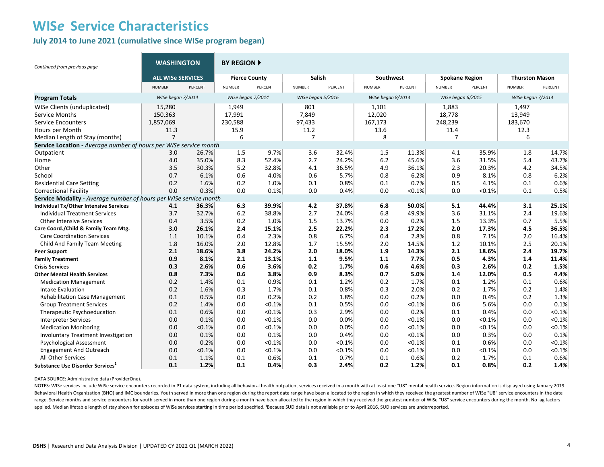#### **July 2014 to June 2021 (cumulative since WISe program began)**

| Continued from previous page                                      | <b>WASHINGTON</b>        |         | <b>BY REGION F</b>   |         |                   |         |                   |         |                       |         |                       |         |
|-------------------------------------------------------------------|--------------------------|---------|----------------------|---------|-------------------|---------|-------------------|---------|-----------------------|---------|-----------------------|---------|
|                                                                   | <b>ALL WISE SERVICES</b> |         | <b>Pierce County</b> |         | <b>Salish</b>     |         | Southwest         |         | <b>Spokane Region</b> |         | <b>Thurston Mason</b> |         |
|                                                                   | <b>NUMBER</b>            | PERCENT | <b>NUMBER</b>        | PERCENT | <b>NUMBER</b>     | PERCENT | <b>NUMBER</b>     | PERCENT | <b>NUMBER</b>         | PERCENT | <b>NUMBER</b>         | PERCENT |
| <b>Program Totals</b>                                             | WISe began 7/2014        |         | WISe began 7/2014    |         | WISe began 5/2016 |         | WISe began 8/2014 |         | WISe began 6/2015     |         | WISe began 7/2014     |         |
| WISe Clients (unduplicated)                                       | 15,280                   |         | 1,949                |         | 801               |         | 1,101             |         | 1,883                 |         | 1,497                 |         |
| <b>Service Months</b>                                             | 150,363                  |         | 17,991               |         | 7,849             |         | 12,020            |         | 18,778                |         | 13,949                |         |
| <b>Service Encounters</b>                                         | 1,857,069                |         | 230,588              |         | 97,433            |         | 167,173           |         | 248,239               |         | 183,670               |         |
| Hours per Month                                                   | 11.3                     |         | 15.9                 |         | 11.2              |         | 13.6              |         | 11.4                  |         | 12.3                  |         |
| Median Length of Stay (months)                                    | $\overline{7}$           |         | 6                    |         | 7                 |         | 8                 |         | $\overline{7}$        |         | 6                     |         |
| Service Location - Average number of hours per WISe service month |                          |         |                      |         |                   |         |                   |         |                       |         |                       |         |
| Outpatient                                                        | 3.0                      | 26.7%   | 1.5                  | 9.7%    | 3.6               | 32.4%   | 1.5               | 11.3%   | 4.1                   | 35.9%   | 1.8                   | 14.7%   |
| Home                                                              | 4.0                      | 35.0%   | 8.3                  | 52.4%   | 2.7               | 24.2%   | 6.2               | 45.6%   | 3.6                   | 31.5%   | 5.4                   | 43.7%   |
| Other                                                             | 3.5                      | 30.3%   | 5.2                  | 32.8%   | 4.1               | 36.5%   | 4.9               | 36.1%   | 2.3                   | 20.3%   | 4.2                   | 34.5%   |
| School                                                            | 0.7                      | 6.1%    | 0.6                  | 4.0%    | 0.6               | 5.7%    | 0.8               | 6.2%    | 0.9                   | 8.1%    | 0.8                   | 6.2%    |
| <b>Residential Care Setting</b>                                   | 0.2                      | 1.6%    | 0.2                  | 1.0%    | 0.1               | 0.8%    | 0.1               | 0.7%    | 0.5                   | 4.1%    | 0.1                   | 0.6%    |
| <b>Correctional Facility</b>                                      | 0.0                      | 0.3%    | 0.0                  | 0.1%    | 0.0               | 0.4%    | 0.0               | < 0.1%  | 0.0                   | < 0.1%  | 0.1                   | 0.5%    |
| Service Modality - Average number of hours per WISe service month |                          |         |                      |         |                   |         |                   |         |                       |         |                       |         |
| Individual Tx/Other Intensive Services                            | 4.1                      | 36.3%   | 6.3                  | 39.9%   | 4.2               | 37.8%   | 6.8               | 50.0%   | 5.1                   | 44.4%   | 3.1                   | 25.1%   |
| <b>Individual Treatment Services</b>                              | 3.7                      | 32.7%   | 6.2                  | 38.8%   | 2.7               | 24.0%   | 6.8               | 49.9%   | 3.6                   | 31.1%   | 2.4                   | 19.6%   |
| <b>Other Intensive Services</b>                                   | 0.4                      | 3.5%    | 0.2                  | 1.0%    | 1.5               | 13.7%   | 0.0               | 0.2%    | 1.5                   | 13.3%   | 0.7                   | 5.5%    |
| Care Coord./Child & Family Team Mtg.                              | 3.0                      | 26.1%   | 2.4                  | 15.1%   | 2.5               | 22.2%   | 2.3               | 17.2%   | 2.0                   | 17.3%   | 4.5                   | 36.5%   |
| <b>Care Coordination Services</b>                                 | 1.1                      | 10.1%   | 0.4                  | 2.3%    | 0.8               | 6.7%    | 0.4               | 2.8%    | 0.8                   | 7.1%    | 2.0                   | 16.4%   |
| Child And Family Team Meeting                                     | 1.8                      | 16.0%   | 2.0                  | 12.8%   | 1.7               | 15.5%   | 2.0               | 14.5%   | 1.2                   | 10.1%   | 2.5                   | 20.1%   |
| <b>Peer Support</b>                                               | 2.1                      | 18.6%   | 3.8                  | 24.2%   | 2.0               | 18.0%   | 1.9               | 14.3%   | 2.1                   | 18.6%   | 2.4                   | 19.7%   |
| <b>Family Treatment</b>                                           | 0.9                      | 8.1%    | 2.1                  | 13.1%   | 1.1               | 9.5%    | 1.1               | 7.7%    | 0.5                   | 4.3%    | 1.4                   | 11.4%   |
| <b>Crisis Services</b>                                            | 0.3                      | 2.6%    | 0.6                  | 3.6%    | 0.2               | 1.7%    | 0.6               | 4.6%    | 0.3                   | 2.6%    | 0.2                   | 1.5%    |
| <b>Other Mental Health Services</b>                               | 0.8                      | 7.3%    | 0.6                  | 3.8%    | 0.9               | 8.3%    | 0.7               | 5.0%    | 1.4                   | 12.0%   | 0.5                   | 4.4%    |
| <b>Medication Management</b>                                      | 0.2                      | 1.4%    | 0.1                  | 0.9%    | 0.1               | 1.2%    | 0.2               | 1.7%    | 0.1                   | 1.2%    | 0.1                   | 0.6%    |
| Intake Evaluation                                                 | 0.2                      | 1.6%    | 0.3                  | 1.7%    | 0.1               | 0.8%    | 0.3               | 2.0%    | 0.2                   | 1.7%    | 0.2                   | 1.4%    |
| <b>Rehabilitation Case Management</b>                             | 0.1                      | 0.5%    | 0.0                  | 0.2%    | 0.2               | 1.8%    | 0.0               | 0.2%    | 0.0                   | 0.4%    | 0.2                   | 1.3%    |
| <b>Group Treatment Services</b>                                   | 0.2                      | 1.4%    | 0.0                  | < 0.1%  | 0.1               | 0.5%    | 0.0               | < 0.1%  | 0.6                   | 5.6%    | 0.0                   | 0.1%    |
| Therapeutic Psychoeducation                                       | 0.1                      | 0.6%    | 0.0                  | < 0.1%  | 0.3               | 2.9%    | 0.0               | 0.2%    | 0.1                   | 0.4%    | 0.0                   | < 0.1%  |
| <b>Interpreter Services</b>                                       | 0.0                      | 0.1%    | 0.0                  | < 0.1%  | 0.0               | 0.0%    | 0.0               | < 0.1%  | 0.0                   | < 0.1%  | 0.0                   | < 0.1%  |
| <b>Medication Monitoring</b>                                      | 0.0                      | < 0.1%  | 0.0                  | < 0.1%  | 0.0               | 0.0%    | 0.0               | < 0.1%  | 0.0                   | < 0.1%  | 0.0                   | < 0.1%  |
| Involuntary Treatment Investigation                               | 0.0                      | 0.1%    | 0.0                  | 0.1%    | 0.0               | 0.4%    | 0.0               | < 0.1%  | 0.0                   | 0.3%    | 0.0                   | 0.1%    |
| <b>Psychological Assessment</b>                                   | 0.0                      | 0.2%    | 0.0                  | < 0.1%  | 0.0               | < 0.1%  | 0.0               | < 0.1%  | 0.1                   | 0.6%    | 0.0                   | < 0.1%  |
| <b>Engagement And Outreach</b>                                    | 0.0                      | < 0.1%  | 0.0                  | < 0.1%  | 0.0               | < 0.1%  | 0.0               | < 0.1%  | 0.0                   | < 0.1%  | 0.0                   | < 0.1%  |
| <b>All Other Services</b>                                         | 0.1                      | 1.1%    | 0.1                  | 0.6%    | 0.1               | 0.7%    | 0.1               | 0.6%    | 0.2                   | 1.7%    | 0.1                   | 0.6%    |
| Substance Use Disorder Services <sup>1</sup>                      | 0.1                      | 1.2%    | 0.1                  | 0.4%    | 0.3               | 2.4%    | 0.2               | 1.2%    | 0.1                   | 0.8%    | 0.2                   | 1.4%    |

DATA SOURCE: Administrative data (ProviderOne).

NOTES: WISe services include WISe service encounters recorded in P1 data system, including all behavioral health outpatient services received in a month with at least one "U8" mental health service. Region information is d Behavioral Health Organization (BHO) and IMC boundaries. Youth served in more than one region during the report date range have been allocated to the region in which they received the greatest number of WISe "U8" service e range. Service months and service encounters for youth served in more than one region during a month have been allocated to the region in which they received the greatest number of WISe "U8" service encounters during the m applied. Median lifetable length of stay shown for episodes of WISe services starting in time period specified. 'Because SUD data is not available prior to April 2016, SUD services are underreported.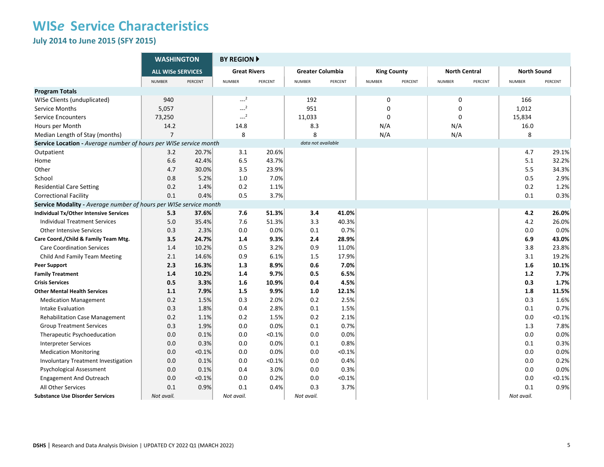**July 2014 to June 2015 (SFY 2015)** 

|                                                                   | <b>WASHINGTON</b>        |         | <b>BY REGION A</b>  |         |                         |         |                    |         |                      |         |                    |           |
|-------------------------------------------------------------------|--------------------------|---------|---------------------|---------|-------------------------|---------|--------------------|---------|----------------------|---------|--------------------|-----------|
|                                                                   | <b>ALL WISe SERVICES</b> |         | <b>Great Rivers</b> |         | <b>Greater Columbia</b> |         | <b>King County</b> |         | <b>North Central</b> |         | <b>North Sound</b> |           |
|                                                                   | <b>NUMBER</b>            | PERCENT | <b>NUMBER</b>       | PERCENT | <b>NUMBER</b>           | PERCENT | <b>NUMBER</b>      | PERCENT | <b>NUMBER</b>        | PERCENT | <b>NUMBER</b>      | PERCENT   |
| <b>Program Totals</b>                                             |                          |         |                     |         |                         |         |                    |         |                      |         |                    |           |
| WISe Clients (unduplicated)                                       | 940                      |         | $-2$                |         | 192                     |         | $\mathbf 0$        |         | $\mathbf 0$          |         | 166                |           |
| Service Months                                                    | 5,057                    |         | $\sim$ <sup>2</sup> |         | 951                     |         | $\Omega$           |         | $\Omega$             |         | 1,012              |           |
| <b>Service Encounters</b>                                         | 73,250                   |         | $-2$                |         | 11,033                  |         | $\mathbf 0$        |         | $\mathbf 0$          |         | 15,834             |           |
| Hours per Month                                                   | 14.2                     |         | 14.8                |         | 8.3                     |         | N/A                |         | N/A                  |         | 16.0               |           |
| Median Length of Stay (months)                                    | $\overline{7}$           |         | 8                   |         | 8                       |         | N/A                |         | N/A                  |         | 8                  |           |
| Service Location - Average number of hours per WISe service month |                          |         |                     |         | data not available      |         |                    |         |                      |         |                    |           |
| Outpatient                                                        | 3.2                      | 20.7%   | 3.1                 | 20.6%   |                         |         |                    |         |                      |         | 4.7                | 29.1%     |
| Home                                                              | 6.6                      | 42.4%   | 6.5                 | 43.7%   |                         |         |                    |         |                      |         | 5.1                | 32.2%     |
| Other                                                             | 4.7                      | 30.0%   | 3.5                 | 23.9%   |                         |         |                    |         |                      |         | 5.5                | 34.3%     |
| School                                                            | 0.8                      | 5.2%    | 1.0                 | 7.0%    |                         |         |                    |         |                      |         | 0.5                | 2.9%      |
| <b>Residential Care Setting</b>                                   | 0.2                      | 1.4%    | 0.2                 | 1.1%    |                         |         |                    |         |                      |         | 0.2                | 1.2%      |
| <b>Correctional Facility</b>                                      | 0.1                      | 0.4%    | 0.5                 | 3.7%    |                         |         |                    |         |                      |         | 0.1                | 0.3%      |
| Service Modality - Average number of hours per WISe service month |                          |         |                     |         |                         |         |                    |         |                      |         |                    |           |
| Individual Tx/Other Intensive Services                            | 5.3                      | 37.6%   | 7.6                 | 51.3%   | 3.4                     | 41.0%   |                    |         |                      |         | 4.2                | 26.0%     |
| <b>Individual Treatment Services</b>                              | 5.0                      | 35.4%   | 7.6                 | 51.3%   | 3.3                     | 40.3%   |                    |         |                      |         | 4.2                | 26.0%     |
| <b>Other Intensive Services</b>                                   | 0.3                      | 2.3%    | 0.0                 | 0.0%    | 0.1                     | 0.7%    |                    |         |                      |         | 0.0                | 0.0%      |
| Care Coord./Child & Family Team Mtg.                              | 3.5                      | 24.7%   | 1.4                 | 9.3%    | 2.4                     | 28.9%   |                    |         |                      |         | 6.9                | 43.0%     |
| <b>Care Coordination Services</b>                                 | 1.4                      | 10.2%   | 0.5                 | 3.2%    | 0.9                     | 11.0%   |                    |         |                      |         | 3.8                | 23.8%     |
| Child And Family Team Meeting                                     | 2.1                      | 14.6%   | 0.9                 | 6.1%    | 1.5                     | 17.9%   |                    |         |                      |         | 3.1                | 19.2%     |
| <b>Peer Support</b>                                               | 2.3                      | 16.3%   | 1.3                 | 8.9%    | 0.6                     | 7.0%    |                    |         |                      |         | 1.6                | 10.1%     |
| <b>Family Treatment</b>                                           | 1.4                      | 10.2%   | 1.4                 | 9.7%    | 0.5                     | 6.5%    |                    |         |                      |         | $1.2$              | 7.7%      |
| <b>Crisis Services</b>                                            | 0.5                      | 3.3%    | 1.6                 | 10.9%   | 0.4                     | 4.5%    |                    |         |                      |         | 0.3                | 1.7%      |
| <b>Other Mental Health Services</b>                               | 1.1                      | 7.9%    | 1.5                 | 9.9%    | 1.0                     | 12.1%   |                    |         |                      |         | 1.8                | 11.5%     |
| <b>Medication Management</b>                                      | 0.2                      | 1.5%    | 0.3                 | 2.0%    | 0.2                     | 2.5%    |                    |         |                      |         | 0.3                | 1.6%      |
| Intake Evaluation                                                 | 0.3                      | 1.8%    | 0.4                 | 2.8%    | 0.1                     | 1.5%    |                    |         |                      |         | 0.1                | 0.7%      |
| <b>Rehabilitation Case Management</b>                             | 0.2                      | 1.1%    | 0.2                 | 1.5%    | 0.2                     | 2.1%    |                    |         |                      |         | 0.0                | $< 0.1\%$ |
| <b>Group Treatment Services</b>                                   | 0.3                      | 1.9%    | 0.0                 | 0.0%    | 0.1                     | 0.7%    |                    |         |                      |         | 1.3                | 7.8%      |
| Therapeutic Psychoeducation                                       | 0.0                      | 0.1%    | 0.0                 | < 0.1%  | 0.0                     | 0.0%    |                    |         |                      |         | 0.0                | 0.0%      |
| <b>Interpreter Services</b>                                       | 0.0                      | 0.3%    | 0.0                 | 0.0%    | 0.1                     | 0.8%    |                    |         |                      |         | 0.1                | 0.3%      |
| <b>Medication Monitoring</b>                                      | 0.0                      | < 0.1%  | 0.0                 | 0.0%    | 0.0                     | < 0.1%  |                    |         |                      |         | 0.0                | 0.0%      |
| Involuntary Treatment Investigation                               | 0.0                      | 0.1%    | 0.0                 | < 0.1%  | 0.0                     | 0.4%    |                    |         |                      |         | 0.0                | 0.2%      |
| <b>Psychological Assessment</b>                                   | 0.0                      | 0.1%    | 0.4                 | 3.0%    | 0.0                     | 0.3%    |                    |         |                      |         | 0.0                | 0.0%      |
| <b>Engagement And Outreach</b>                                    | 0.0                      | < 0.1%  | 0.0                 | 0.2%    | 0.0                     | < 0.1%  |                    |         |                      |         | 0.0                | $< 0.1\%$ |
| All Other Services                                                | 0.1                      | 0.9%    | 0.1                 | 0.4%    | 0.3                     | 3.7%    |                    |         |                      |         | 0.1                | 0.9%      |
| <b>Substance Use Disorder Services</b>                            | Not avail.               |         | Not avail.          |         | Not avail.              |         |                    |         |                      |         | Not avail.         |           |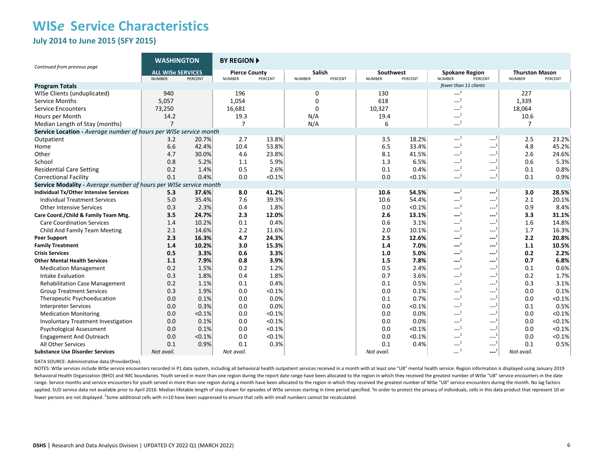**July 2014 to June 2015 (SFY 2015)** 

|                                                                   | <b>WASHINGTON</b>                         |         | <b>BY REGION A</b>                    |         |                                    |                            |           |                                                       |                                                            |                                        |         |
|-------------------------------------------------------------------|-------------------------------------------|---------|---------------------------------------|---------|------------------------------------|----------------------------|-----------|-------------------------------------------------------|------------------------------------------------------------|----------------------------------------|---------|
| Continued from previous page                                      | <b>ALL WISe SERVICES</b><br><b>NUMBER</b> | PERCENT | <b>Pierce County</b><br><b>NUMBER</b> | PERCENT | Salish<br><b>NUMBER</b><br>PERCENT | Southwest<br><b>NUMBER</b> | PERCENT   | <b>Spokane Region</b><br><b>NUMBER</b>                | PERCENT                                                    | <b>Thurston Mason</b><br><b>NUMBER</b> | PERCENT |
| <b>Program Totals</b>                                             |                                           |         |                                       |         |                                    |                            |           | fewer than 11 clients                                 |                                                            |                                        |         |
| WISe Clients (unduplicated)                                       | 940                                       |         | 196                                   |         | 0                                  | 130                        |           | $\sim$ <sup>1</sup>                                   |                                                            | 227                                    |         |
| <b>Service Months</b>                                             | 5,057                                     |         | 1,054                                 |         | 0                                  | 618                        |           | $-1$                                                  |                                                            | 1,339                                  |         |
| <b>Service Encounters</b>                                         | 73,250                                    |         | 16,681                                |         | 0                                  | 10,327                     |           | $---1$                                                |                                                            | 18,064                                 |         |
| Hours per Month                                                   | 14.2                                      |         | 19.3                                  |         | N/A                                | 19.4                       |           | $\begin{smallmatrix} &1\\1&\end{smallmatrix}$         |                                                            | 10.6                                   |         |
| Median Length of Stay (months)                                    | $\overline{7}$                            |         | $\overline{7}$                        |         | N/A                                | 6                          |           | $-1$                                                  |                                                            | $\overline{7}$                         |         |
| Service Location - Average number of hours per WISe service month |                                           |         |                                       |         |                                    |                            |           |                                                       |                                                            |                                        |         |
| Outpatient                                                        | 3.2                                       | 20.7%   | 2.7                                   | 13.8%   |                                    | 3.5                        | 18.2%     | $---1$                                                | $1 - 1$                                                    | 2.5                                    | 23.2%   |
| Home                                                              | 6.6                                       | 42.4%   | 10.4                                  | 53.8%   |                                    | 6.5                        | 33.4%     | $\sim$ <sup>1</sup>                                   | $---1$                                                     | 4.8                                    | 45.2%   |
| Other                                                             | 4.7                                       | 30.0%   | 4.6                                   | 23.8%   |                                    | 8.1                        | 41.5%     | $-1$                                                  | $---1$                                                     | 2.6                                    | 24.6%   |
| School                                                            | 0.8                                       | 5.2%    | 1.1                                   | 5.9%    |                                    | 1.3                        | 6.5%      | $-1$                                                  | $---1$                                                     | 0.6                                    | 5.3%    |
| <b>Residential Care Setting</b>                                   | 0.2                                       | 1.4%    | 0.5                                   | 2.6%    |                                    | 0.1                        | 0.4%      | $---1$                                                | $-1$                                                       | 0.1                                    | 0.8%    |
| <b>Correctional Facility</b>                                      | 0.1                                       | 0.4%    | 0.0                                   | < 0.1%  |                                    | 0.0                        | $< 0.1\%$ | $-1$                                                  | $---1$                                                     | 0.1                                    | 0.9%    |
| Service Modality - Average number of hours per WISe service month |                                           |         |                                       |         |                                    |                            |           |                                                       |                                                            |                                        |         |
| <b>Individual Tx/Other Intensive Services</b>                     | 5.3                                       | 37.6%   | 8.0                                   | 41.2%   |                                    | 10.6                       | 54.5%     | $---1$                                                | $---1$                                                     | 3.0                                    | 28.5%   |
| <b>Individual Treatment Services</b>                              | 5.0                                       | 35.4%   | 7.6                                   | 39.3%   |                                    | 10.6                       | 54.4%     | $\sim$ <sup>1</sup>                                   | $---1$                                                     | 2.1                                    | 20.1%   |
| <b>Other Intensive Services</b>                                   | 0.3                                       | 2.3%    | 0.4                                   | 1.8%    |                                    | 0.0                        | < 0.1%    | $-1$                                                  | $---1$                                                     | 0.9                                    | 8.4%    |
| Care Coord./Child & Family Team Mtg.                              | 3.5                                       | 24.7%   | 2.3                                   | 12.0%   |                                    | 2.6                        | 13.1%     | $---1$                                                | -----                                                      | 3.3                                    | 31.1%   |
| <b>Care Coordination Services</b>                                 | 1.4                                       | 10.2%   | 0.1                                   | 0.4%    |                                    | 0.6                        | 3.1%      | $\sim$ <sup>1</sup>                                   | $---1$                                                     | 1.6                                    | 14.8%   |
| Child And Family Team Meeting                                     | 2.1                                       | 14.6%   | 2.2                                   | 11.6%   |                                    | 2.0                        | 10.1%     | $---1$                                                | $---1$                                                     | 1.7                                    | 16.3%   |
| <b>Peer Support</b>                                               | 2.3                                       | 16.3%   | 4.7                                   | 24.3%   |                                    | 2.5                        | 12.6%     | $\cdots$ <sup>1</sup>                                 | $---$                                                      | 2.2                                    | 20.8%   |
| <b>Family Treatment</b>                                           | 1.4                                       | 10.2%   | 3.0                                   | 15.3%   |                                    | 1.4                        | 7.0%      | $-1$                                                  | ---                                                        | 1.1                                    | 10.5%   |
| <b>Crisis Services</b>                                            | 0.5                                       | 3.3%    | 0.6                                   | 3.3%    |                                    | 1.0                        | 5.0%      | $\begin{smallmatrix} &1\\ \text{-} \end{smallmatrix}$ | ---                                                        | 0.2                                    | 2.2%    |
| <b>Other Mental Health Services</b>                               | 1.1                                       | 7.9%    | 0.8                                   | 3.9%    |                                    | 1.5                        | 7.8%      | $---1$                                                | $---1$                                                     | 0.7                                    | 6.8%    |
| <b>Medication Management</b>                                      | 0.2                                       | 1.5%    | 0.2                                   | 1.2%    |                                    | 0.5                        | 2.4%      | $\begin{smallmatrix} &1\\1&\\&\end{smallmatrix}$      | $\textcolor{blue}{\mathbf{1}}\textcolor{blue}{\mathbf{1}}$ | 0.1                                    | 0.6%    |
| Intake Evaluation                                                 | 0.3                                       | 1.8%    | 0.4                                   | 1.8%    |                                    | 0.7                        | 3.6%      | $-1$                                                  | $---1$                                                     | 0.2                                    | 1.7%    |
| <b>Rehabilitation Case Management</b>                             | 0.2                                       | 1.1%    | 0.1                                   | 0.4%    |                                    | 0.1                        | 0.5%      | $-1$                                                  | $-1$                                                       | 0.3                                    | 3.1%    |
| <b>Group Treatment Services</b>                                   | 0.3                                       | 1.9%    | 0.0                                   | < 0.1%  |                                    | 0.0                        | 0.1%      | $---1$                                                | $---1$                                                     | 0.0                                    | 0.1%    |
| Therapeutic Psychoeducation                                       | 0.0                                       | 0.1%    | 0.0                                   | 0.0%    |                                    | 0.1                        | 0.7%      | $-1$                                                  | $---1$                                                     | 0.0                                    | < 0.1%  |
| <b>Interpreter Services</b>                                       | 0.0                                       | 0.3%    | 0.0                                   | 0.0%    |                                    | 0.0                        | < 0.1%    | $-1$                                                  | ---                                                        | 0.1                                    | 0.5%    |
| <b>Medication Monitoring</b>                                      | 0.0                                       | < 0.1%  | 0.0                                   | < 0.1%  |                                    | 0.0                        | 0.0%      | $\begin{smallmatrix} &1\\1&\\&\end{smallmatrix}$      | $-1$                                                       | 0.0                                    | < 0.1%  |
| Involuntary Treatment Investigation                               | 0.0                                       | 0.1%    | 0.0                                   | < 0.1%  |                                    | 0.0                        | 0.0%      | $\begin{smallmatrix}&&1\\&\dots\end{smallmatrix}$     | $-1$                                                       | 0.0                                    | < 0.1%  |
| <b>Psychological Assessment</b>                                   | 0.0                                       | 0.1%    | 0.0                                   | < 0.1%  |                                    | 0.0                        | < 0.1%    | $---1$                                                | $---1$                                                     | 0.0                                    | < 0.1%  |
| <b>Engagement And Outreach</b>                                    | 0.0                                       | < 0.1%  | 0.0                                   | < 0.1%  |                                    | 0.0                        | < 0.1%    | $\begin{smallmatrix} &1\\1&\\&\end{smallmatrix}$      | $---1$                                                     | 0.0                                    | < 0.1%  |
| All Other Services                                                | 0.1                                       | 0.9%    | 0.1                                   | 0.3%    |                                    | 0.1                        | 0.4%      | $-1$                                                  | $---1$                                                     | 0.1                                    | 0.5%    |
| <b>Substance Use Disorder Services</b>                            | Not avail.                                |         | Not avail.                            |         |                                    | Not avail.                 |           | $\ldots^4$                                            | $---1$                                                     | Not avail.                             |         |

DATA SOURCE: Administrative data (ProviderOne).

NOTES: WISe services include WISe service encounters recorded in P1 data system, including all behavioral health outpatient services received in a month with at least one "U8" mental health service. Region information is d Behavioral Health Organization (BHO) and IMC boundaries. Youth served in more than one region during the report date range have been allocated to the region in which they received the greatest number of WISe "U8" service e range. Service months and service encounters for youth served in more than one region during a month have been allocated to the region in which they received the greatest number of WISe "U8" service encounters during the m applied. SUD service data not available prior to April 2016. Median lifetable length of stay shown for episodes of WISe services starting in time period specified. <sup>1</sup>In order to protect the privacy of individuals, cells i fewer persons are not displayed. <sup>2</sup>Some additional cells with n>10 have been suppressed to ensure that cells with small numbers cannot be recalculated.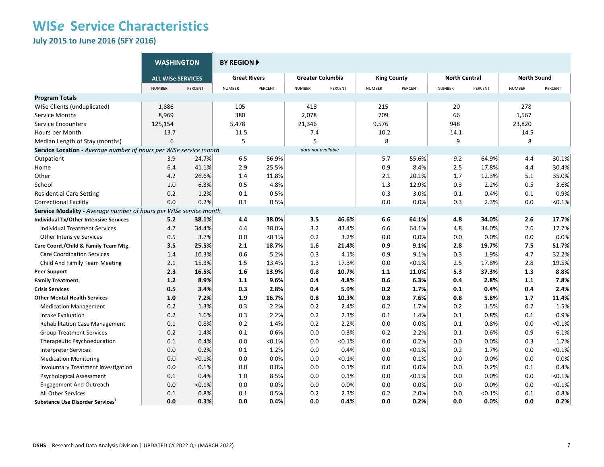**July 2015 to June 2016 (SFY 2016)** 

|                                                                   | <b>WASHINGTON</b>        |         | <b>BY REGION ▶</b>  |           |                         |         |                    |         |                      |         |                    |           |
|-------------------------------------------------------------------|--------------------------|---------|---------------------|-----------|-------------------------|---------|--------------------|---------|----------------------|---------|--------------------|-----------|
|                                                                   | <b>ALL WISe SERVICES</b> |         | <b>Great Rivers</b> |           | <b>Greater Columbia</b> |         | <b>King County</b> |         | <b>North Central</b> |         | <b>North Sound</b> |           |
|                                                                   | <b>NUMBER</b>            | PERCENT | <b>NUMBER</b>       | PERCENT   | <b>NUMBER</b>           | PERCENT | <b>NUMBER</b>      | PERCENT | <b>NUMBER</b>        | PERCENT | <b>NUMBER</b>      | PERCENT   |
| <b>Program Totals</b>                                             |                          |         |                     |           |                         |         |                    |         |                      |         |                    |           |
| WISe Clients (unduplicated)                                       | 1,886                    |         | 105                 |           | 418                     |         | 215                |         | 20                   |         | 278                |           |
| Service Months                                                    | 8,969                    |         | 380                 |           | 2,078                   |         | 709                |         | 66                   |         | 1,567              |           |
| <b>Service Encounters</b>                                         | 125,154                  |         | 5,478               |           | 21,346                  |         | 9,576              |         | 948                  |         | 23,820             |           |
| Hours per Month                                                   | 13.7                     |         | 11.5                |           | 7.4                     |         | 10.2               |         | 14.1                 |         | 14.5               |           |
| Median Length of Stay (months)                                    | 6                        |         | 5                   |           | 5                       |         | 8                  |         | 9                    |         | 8                  |           |
| Service Location - Average number of hours per WISe service month |                          |         |                     |           | data not available      |         |                    |         |                      |         |                    |           |
| Outpatient                                                        | 3.9                      | 24.7%   | 6.5                 | 56.9%     |                         |         | 5.7                | 55.6%   | 9.2                  | 64.9%   | 4.4                | 30.1%     |
| Home                                                              | 6.4                      | 41.1%   | 2.9                 | 25.5%     |                         |         | 0.9                | 8.4%    | 2.5                  | 17.8%   | 4.4                | 30.4%     |
| Other                                                             | 4.2                      | 26.6%   | 1.4                 | 11.8%     |                         |         | 2.1                | 20.1%   | 1.7                  | 12.3%   | 5.1                | 35.0%     |
| School                                                            | 1.0                      | 6.3%    | 0.5                 | 4.8%      |                         |         | 1.3                | 12.9%   | 0.3                  | 2.2%    | 0.5                | 3.6%      |
| <b>Residential Care Setting</b>                                   | 0.2                      | 1.2%    | 0.1                 | 0.5%      |                         |         | 0.3                | 3.0%    | 0.1                  | 0.4%    | 0.1                | 0.9%      |
| <b>Correctional Facility</b>                                      | 0.0                      | 0.2%    | 0.1                 | 0.5%      |                         |         | 0.0                | 0.0%    | 0.3                  | 2.3%    | 0.0                | < 0.1%    |
| Service Modality - Average number of hours per WISe service month |                          |         |                     |           |                         |         |                    |         |                      |         |                    |           |
| <b>Individual Tx/Other Intensive Services</b>                     | 5.2                      | 38.1%   | 4.4                 | 38.0%     | 3.5                     | 46.6%   | 6.6                | 64.1%   | 4.8                  | 34.0%   | 2.6                | 17.7%     |
| <b>Individual Treatment Services</b>                              | 4.7                      | 34.4%   | 4.4                 | 38.0%     | 3.2                     | 43.4%   | 6.6                | 64.1%   | 4.8                  | 34.0%   | 2.6                | 17.7%     |
| <b>Other Intensive Services</b>                                   | 0.5                      | 3.7%    | 0.0                 | < 0.1%    | 0.2                     | 3.2%    | 0.0                | 0.0%    | 0.0                  | 0.0%    | 0.0                | 0.0%      |
| Care Coord./Child & Family Team Mtg.                              | 3.5                      | 25.5%   | 2.1                 | 18.7%     | 1.6                     | 21.4%   | 0.9                | 9.1%    | 2.8                  | 19.7%   | 7.5                | 51.7%     |
| <b>Care Coordination Services</b>                                 | 1.4                      | 10.3%   | 0.6                 | 5.2%      | 0.3                     | 4.1%    | 0.9                | 9.1%    | 0.3                  | 1.9%    | 4.7                | 32.2%     |
| Child And Family Team Meeting                                     | 2.1                      | 15.3%   | 1.5                 | 13.4%     | 1.3                     | 17.3%   | 0.0                | < 0.1%  | 2.5                  | 17.8%   | 2.8                | 19.5%     |
| <b>Peer Support</b>                                               | 2.3                      | 16.5%   | 1.6                 | 13.9%     | 0.8                     | 10.7%   | 1.1                | 11.0%   | 5.3                  | 37.3%   | 1.3                | 8.8%      |
| <b>Family Treatment</b>                                           | 1.2                      | 8.9%    | 1.1                 | 9.6%      | 0.4                     | 4.8%    | 0.6                | 6.3%    | 0.4                  | 2.8%    | 1.1                | 7.8%      |
| <b>Crisis Services</b>                                            | 0.5                      | 3.4%    | 0.3                 | 2.8%      | 0.4                     | 5.9%    | 0.2                | 1.7%    | 0.1                  | 0.4%    | 0.4                | 2.4%      |
| <b>Other Mental Health Services</b>                               | 1.0                      | 7.2%    | 1.9                 | 16.7%     | 0.8                     | 10.3%   | 0.8                | 7.6%    | 0.8                  | 5.8%    | 1.7                | 11.4%     |
| <b>Medication Management</b>                                      | 0.2                      | 1.3%    | 0.3                 | 2.2%      | 0.2                     | 2.4%    | 0.2                | 1.7%    | 0.2                  | 1.5%    | 0.2                | 1.5%      |
| Intake Evaluation                                                 | 0.2                      | 1.6%    | 0.3                 | 2.2%      | 0.2                     | 2.3%    | 0.1                | 1.4%    | 0.1                  | 0.8%    | 0.1                | 0.9%      |
| <b>Rehabilitation Case Management</b>                             | 0.1                      | 0.8%    | 0.2                 | 1.4%      | 0.2                     | 2.2%    | 0.0                | 0.0%    | 0.1                  | 0.8%    | 0.0                | < 0.1%    |
| <b>Group Treatment Services</b>                                   | 0.2                      | 1.4%    | 0.1                 | 0.6%      | 0.0                     | 0.3%    | 0.2                | 2.2%    | 0.1                  | 0.6%    | 0.9                | 6.1%      |
| Therapeutic Psychoeducation                                       | 0.1                      | 0.4%    | 0.0                 | $< 0.1\%$ | 0.0                     | < 0.1%  | 0.0                | 0.2%    | 0.0                  | 0.0%    | 0.3                | 1.7%      |
| <b>Interpreter Services</b>                                       | 0.0                      | 0.2%    | 0.1                 | 1.2%      | 0.0                     | 0.4%    | 0.0                | < 0.1%  | 0.2                  | 1.7%    | 0.0                | $< 0.1\%$ |
| <b>Medication Monitoring</b>                                      | 0.0                      | < 0.1%  | 0.0                 | 0.0%      | 0.0                     | < 0.1%  | 0.0                | 0.1%    | 0.0                  | 0.0%    | 0.0                | 0.0%      |
| <b>Involuntary Treatment Investigation</b>                        | 0.0                      | 0.1%    | 0.0                 | 0.0%      | 0.0                     | 0.1%    | 0.0                | 0.0%    | 0.0                  | 0.2%    | 0.1                | 0.4%      |
| <b>Psychological Assessment</b>                                   | 0.1                      | 0.4%    | 1.0                 | 8.5%      | 0.0                     | 0.1%    | 0.0                | < 0.1%  | 0.0                  | 0.0%    | 0.0                | < 0.1%    |
| <b>Engagement And Outreach</b>                                    | 0.0                      | < 0.1%  | 0.0                 | 0.0%      | 0.0                     | 0.0%    | 0.0                | 0.0%    | 0.0                  | 0.0%    | 0.0                | $< 0.1\%$ |
| All Other Services                                                | 0.1                      | 0.8%    | 0.1                 | 0.5%      | 0.2                     | 2.3%    | 0.2                | 2.0%    | 0.0                  | < 0.1%  | 0.1                | 0.8%      |
| Substance Use Disorder Services <sup>1</sup>                      | 0.0                      | 0.3%    | 0.0                 | 0.4%      | 0.0                     | 0.4%    | 0.0                | 0.2%    | 0.0                  | 0.0%    | 0.0                | 0.2%      |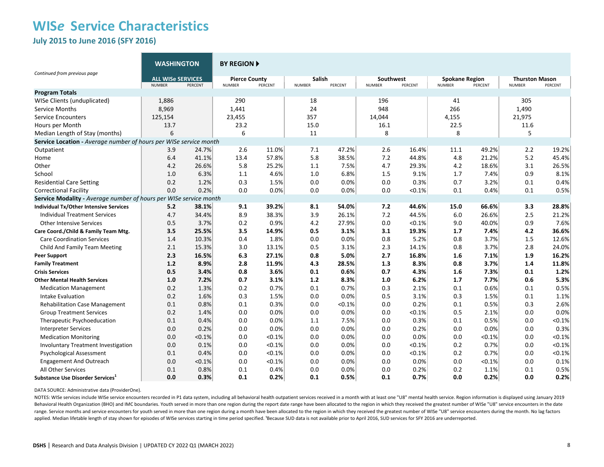**July 2015 to June 2016 (SFY 2016)** 

|                                                                   | <b>WASHINGTON</b>        |         | <b>BY REGION A</b>   |         |               |         |                  |         |                       |         |                       |         |
|-------------------------------------------------------------------|--------------------------|---------|----------------------|---------|---------------|---------|------------------|---------|-----------------------|---------|-----------------------|---------|
| Continued from previous page                                      | <b>ALL WISE SERVICES</b> |         | <b>Pierce County</b> |         | <b>Salish</b> |         | <b>Southwest</b> |         | <b>Spokane Region</b> |         | <b>Thurston Mason</b> |         |
|                                                                   | <b>NUMBER</b>            | PERCENT | <b>NUMBER</b>        | PERCENT | <b>NUMBER</b> | PERCENT | <b>NUMBER</b>    | PERCENT | <b>NUMBER</b>         | PERCENT | <b>NUMBER</b>         | PERCENT |
| <b>Program Totals</b>                                             |                          |         |                      |         |               |         |                  |         |                       |         |                       |         |
| WISe Clients (unduplicated)                                       | 1,886                    |         | 290                  |         | 18            |         | 196              |         | 41                    |         | 305                   |         |
| <b>Service Months</b>                                             | 8,969                    |         | 1,441                |         | 24            |         | 948              |         | 266                   |         | 1,490                 |         |
| <b>Service Encounters</b>                                         | 125,154                  |         | 23,455               |         | 357           |         | 14,044           |         | 4,155                 |         | 21,975                |         |
| Hours per Month                                                   | 13.7                     |         | 23.2                 |         | 15.0          |         | 16.1             |         | 22.5                  |         | 11.6                  |         |
| Median Length of Stay (months)                                    | 6                        |         | 6                    |         | 11            |         | 8                |         | 8                     |         | 5                     |         |
| Service Location - Average number of hours per WISe service month |                          |         |                      |         |               |         |                  |         |                       |         |                       |         |
| Outpatient                                                        | 3.9                      | 24.7%   | 2.6                  | 11.0%   | 7.1           | 47.2%   | 2.6              | 16.4%   | 11.1                  | 49.2%   | 2.2                   | 19.2%   |
| Home                                                              | 6.4                      | 41.1%   | 13.4                 | 57.8%   | 5.8           | 38.5%   | 7.2              | 44.8%   | 4.8                   | 21.2%   | 5.2                   | 45.4%   |
| Other                                                             | 4.2                      | 26.6%   | 5.8                  | 25.2%   | 1.1           | 7.5%    | 4.7              | 29.3%   | 4.2                   | 18.6%   | 3.1                   | 26.5%   |
| School                                                            | 1.0                      | 6.3%    | 1.1                  | 4.6%    | 1.0           | 6.8%    | 1.5              | 9.1%    | 1.7                   | 7.4%    | 0.9                   | 8.1%    |
| <b>Residential Care Setting</b>                                   | 0.2                      | 1.2%    | 0.3                  | 1.5%    | 0.0           | 0.0%    | 0.0              | 0.3%    | 0.7                   | 3.2%    | 0.1                   | 0.4%    |
| <b>Correctional Facility</b>                                      | 0.0                      | 0.2%    | 0.0                  | 0.0%    | 0.0           | 0.0%    | 0.0              | < 0.1%  | 0.1                   | 0.4%    | 0.1                   | 0.5%    |
| Service Modality - Average number of hours per WISe service month |                          |         |                      |         |               |         |                  |         |                       |         |                       |         |
| Individual Tx/Other Intensive Services                            | 5.2                      | 38.1%   | 9.1                  | 39.2%   | 8.1           | 54.0%   | 7.2              | 44.6%   | 15.0                  | 66.6%   | 3.3                   | 28.8%   |
| <b>Individual Treatment Services</b>                              | 4.7                      | 34.4%   | 8.9                  | 38.3%   | 3.9           | 26.1%   | 7.2              | 44.5%   | 6.0                   | 26.6%   | 2.5                   | 21.2%   |
| <b>Other Intensive Services</b>                                   | 0.5                      | 3.7%    | 0.2                  | 0.9%    | 4.2           | 27.9%   | 0.0              | < 0.1%  | 9.0                   | 40.0%   | 0.9                   | 7.6%    |
| Care Coord./Child & Family Team Mtg.                              | 3.5                      | 25.5%   | 3.5                  | 14.9%   | 0.5           | 3.1%    | 3.1              | 19.3%   | 1.7                   | 7.4%    | 4.2                   | 36.6%   |
| <b>Care Coordination Services</b>                                 | 1.4                      | 10.3%   | 0.4                  | 1.8%    | 0.0           | 0.0%    | 0.8              | 5.2%    | 0.8                   | 3.7%    | 1.5                   | 12.6%   |
| Child And Family Team Meeting                                     | 2.1                      | 15.3%   | 3.0                  | 13.1%   | 0.5           | 3.1%    | 2.3              | 14.1%   | 0.8                   | 3.7%    | 2.8                   | 24.0%   |
| <b>Peer Support</b>                                               | 2.3                      | 16.5%   | 6.3                  | 27.1%   | 0.8           | 5.0%    | 2.7              | 16.8%   | 1.6                   | 7.1%    | 1.9                   | 16.2%   |
| <b>Family Treatment</b>                                           | 1.2                      | 8.9%    | 2.8                  | 11.9%   | 4.3           | 28.5%   | 1.3              | 8.3%    | 0.8                   | 3.7%    | 1.4                   | 11.8%   |
| <b>Crisis Services</b>                                            | 0.5                      | 3.4%    | 0.8                  | 3.6%    | 0.1           | 0.6%    | 0.7              | 4.3%    | 1.6                   | 7.3%    | 0.1                   | 1.2%    |
| <b>Other Mental Health Services</b>                               | 1.0                      | 7.2%    | 0.7                  | 3.1%    | 1.2           | 8.3%    | 1.0              | 6.2%    | 1.7                   | 7.7%    | 0.6                   | 5.3%    |
| <b>Medication Management</b>                                      | 0.2                      | 1.3%    | 0.2                  | 0.7%    | 0.1           | 0.7%    | 0.3              | 2.1%    | 0.1                   | 0.6%    | 0.1                   | 0.5%    |
| Intake Evaluation                                                 | 0.2                      | 1.6%    | 0.3                  | 1.5%    | 0.0           | 0.0%    | 0.5              | 3.1%    | 0.3                   | 1.5%    | 0.1                   | 1.1%    |
| <b>Rehabilitation Case Management</b>                             | 0.1                      | 0.8%    | 0.1                  | 0.3%    | 0.0           | < 0.1%  | 0.0              | 0.2%    | 0.1                   | 0.5%    | 0.3                   | 2.6%    |
| <b>Group Treatment Services</b>                                   | 0.2                      | 1.4%    | 0.0                  | 0.0%    | 0.0           | 0.0%    | 0.0              | < 0.1%  | 0.5                   | 2.1%    | 0.0                   | 0.0%    |
| Therapeutic Psychoeducation                                       | 0.1                      | 0.4%    | 0.0                  | 0.0%    | 1.1           | 7.5%    | 0.0              | 0.3%    | 0.1                   | 0.5%    | 0.0                   | < 0.1%  |
| <b>Interpreter Services</b>                                       | 0.0                      | 0.2%    | 0.0                  | 0.0%    | 0.0           | 0.0%    | 0.0              | 0.2%    | 0.0                   | 0.0%    | 0.0                   | 0.3%    |
| <b>Medication Monitoring</b>                                      | 0.0                      | < 0.1%  | 0.0                  | < 0.1%  | 0.0           | 0.0%    | 0.0              | 0.0%    | 0.0                   | < 0.1%  | 0.0                   | < 0.1%  |
| Involuntary Treatment Investigation                               | 0.0                      | 0.1%    | 0.0                  | < 0.1%  | 0.0           | 0.0%    | 0.0              | < 0.1%  | 0.2                   | 0.7%    | 0.0                   | < 0.1%  |
| Psychological Assessment                                          | 0.1                      | 0.4%    | 0.0                  | < 0.1%  | 0.0           | 0.0%    | 0.0              | < 0.1%  | 0.2                   | 0.7%    | 0.0                   | < 0.1%  |
| <b>Engagement And Outreach</b>                                    | 0.0                      | < 0.1%  | 0.0                  | < 0.1%  | 0.0           | 0.0%    | 0.0              | 0.0%    | 0.0                   | < 0.1%  | 0.0                   | 0.1%    |
| All Other Services                                                | 0.1                      | 0.8%    | 0.1                  | 0.4%    | 0.0           | 0.0%    | 0.0              | 0.2%    | 0.2                   | 1.1%    | 0.1                   | 0.5%    |
| Substance Use Disorder Services <sup>1</sup>                      | 0.0                      | 0.3%    | 0.1                  | 0.2%    | 0.1           | 0.5%    | 0.1              | 0.7%    | 0.0                   | 0.2%    | 0.0                   | 0.2%    |

DATA SOURCE: Administrative data (ProviderOne).

NOTES: WISe services include WISe service encounters recorded in P1 data system, including all behavioral health outpatient services received in a month with at least one "U8" mental health service. Region information is d Behavioral Health Organization (BHO) and IMC boundaries. Youth served in more than one region during the report date range have been allocated to the region in which they received the greatest number of WISe "U8" service e range. Service months and service encounters for youth served in more than one region during a month have been allocated to the region in which they received the greatest number of WISe "U8" service encounters during the m applied. Median lifetable length of stay shown for episodes of WISe services starting in time period specified. 'Because SUD data is not available prior to April 2016, SUD services for SFY 2016 are underreported.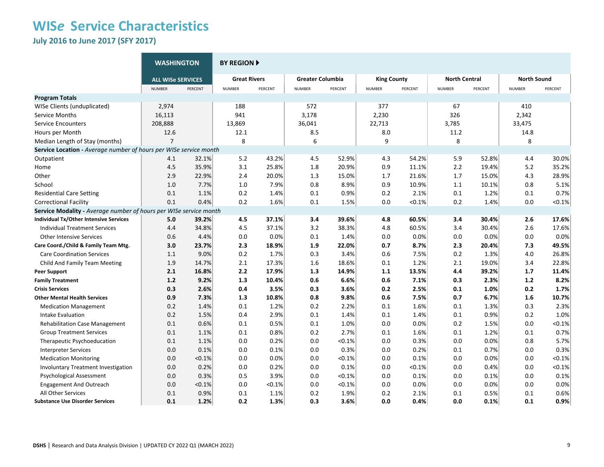**July 2016 to June 2017 (SFY 2017)** 

|                                                                   | <b>WASHINGTON</b>        |         | <b>BY REGION F</b>  |         |                         |         |                    |         |                      |         |                    |         |
|-------------------------------------------------------------------|--------------------------|---------|---------------------|---------|-------------------------|---------|--------------------|---------|----------------------|---------|--------------------|---------|
|                                                                   | <b>ALL WISe SERVICES</b> |         | <b>Great Rivers</b> |         | <b>Greater Columbia</b> |         | <b>King County</b> |         | <b>North Central</b> |         | <b>North Sound</b> |         |
|                                                                   | <b>NUMBER</b>            | PERCENT | <b>NUMBER</b>       | PERCENT | <b>NUMBER</b>           | PERCENT | <b>NUMBER</b>      | PERCENT | <b>NUMBER</b>        | PERCENT | <b>NUMBER</b>      | PERCENT |
| <b>Program Totals</b>                                             |                          |         |                     |         |                         |         |                    |         |                      |         |                    |         |
| WISe Clients (unduplicated)                                       | 2,974                    |         | 188                 |         | 572                     |         | 377                |         | 67                   |         | 410                |         |
| Service Months                                                    | 16,113                   |         | 941                 |         | 3,178                   |         | 2,230              |         | 326                  |         | 2,342              |         |
| <b>Service Encounters</b>                                         | 208,888                  |         | 13,869              |         | 36,041                  |         | 22,713             |         | 3,785                |         | 33,475             |         |
| Hours per Month                                                   | 12.6                     |         | 12.1                |         | 8.5                     |         | 8.0                |         | 11.2                 |         | 14.8               |         |
| Median Length of Stay (months)                                    | $\overline{7}$           |         | 8                   |         | 6                       |         | 9                  |         | 8                    |         | 8                  |         |
| Service Location - Average number of hours per WISe service month |                          |         |                     |         |                         |         |                    |         |                      |         |                    |         |
| Outpatient                                                        | 4.1                      | 32.1%   | 5.2                 | 43.2%   | 4.5                     | 52.9%   | 4.3                | 54.2%   | 5.9                  | 52.8%   | 4.4                | 30.0%   |
| Home                                                              | 4.5                      | 35.9%   | 3.1                 | 25.8%   | 1.8                     | 20.9%   | 0.9                | 11.1%   | 2.2                  | 19.4%   | 5.2                | 35.2%   |
| Other                                                             | 2.9                      | 22.9%   | 2.4                 | 20.0%   | 1.3                     | 15.0%   | 1.7                | 21.6%   | 1.7                  | 15.0%   | 4.3                | 28.9%   |
| School                                                            | 1.0                      | 7.7%    | 1.0                 | 7.9%    | 0.8                     | 8.9%    | 0.9                | 10.9%   | $1.1\,$              | 10.1%   | 0.8                | 5.1%    |
| <b>Residential Care Setting</b>                                   | 0.1                      | 1.1%    | 0.2                 | 1.4%    | 0.1                     | 0.9%    | 0.2                | 2.1%    | 0.1                  | 1.2%    | 0.1                | 0.7%    |
| <b>Correctional Facility</b>                                      | 0.1                      | 0.4%    | 0.2                 | 1.6%    | 0.1                     | 1.5%    | 0.0                | < 0.1%  | 0.2                  | 1.4%    | 0.0                | < 0.1%  |
| Service Modality - Average number of hours per WISe service month |                          |         |                     |         |                         |         |                    |         |                      |         |                    |         |
| <b>Individual Tx/Other Intensive Services</b>                     | 5.0                      | 39.2%   | 4.5                 | 37.1%   | 3.4                     | 39.6%   | 4.8                | 60.5%   | 3.4                  | 30.4%   | 2.6                | 17.6%   |
| <b>Individual Treatment Services</b>                              | 4.4                      | 34.8%   | 4.5                 | 37.1%   | 3.2                     | 38.3%   | 4.8                | 60.5%   | 3.4                  | 30.4%   | 2.6                | 17.6%   |
| <b>Other Intensive Services</b>                                   | 0.6                      | 4.4%    | 0.0                 | 0.0%    | 0.1                     | 1.4%    | 0.0                | 0.0%    | 0.0                  | 0.0%    | 0.0                | 0.0%    |
| Care Coord./Child & Family Team Mtg.                              | 3.0                      | 23.7%   | 2.3                 | 18.9%   | 1.9                     | 22.0%   | 0.7                | 8.7%    | 2.3                  | 20.4%   | 7.3                | 49.5%   |
| <b>Care Coordination Services</b>                                 | 1.1                      | 9.0%    | 0.2                 | 1.7%    | 0.3                     | 3.4%    | 0.6                | 7.5%    | 0.2                  | 1.3%    | 4.0                | 26.8%   |
| Child And Family Team Meeting                                     | 1.9                      | 14.7%   | 2.1                 | 17.3%   | 1.6                     | 18.6%   | 0.1                | 1.2%    | 2.1                  | 19.0%   | 3.4                | 22.8%   |
| <b>Peer Support</b>                                               | 2.1                      | 16.8%   | 2.2                 | 17.9%   | 1.3                     | 14.9%   | 1.1                | 13.5%   | 4.4                  | 39.2%   | 1.7                | 11.4%   |
| <b>Family Treatment</b>                                           | 1.2                      | 9.2%    | 1.3                 | 10.4%   | 0.6                     | 6.6%    | 0.6                | 7.1%    | 0.3                  | 2.3%    | 1.2                | 8.2%    |
| <b>Crisis Services</b>                                            | 0.3                      | 2.6%    | 0.4                 | 3.5%    | 0.3                     | 3.6%    | 0.2                | 2.5%    | 0.1                  | 1.0%    | 0.2                | 1.7%    |
| <b>Other Mental Health Services</b>                               | 0.9                      | 7.3%    | 1.3                 | 10.8%   | 0.8                     | 9.8%    | 0.6                | 7.5%    | 0.7                  | 6.7%    | 1.6                | 10.7%   |
| <b>Medication Management</b>                                      | 0.2                      | 1.4%    | 0.1                 | 1.2%    | 0.2                     | 2.2%    | 0.1                | 1.6%    | 0.1                  | 1.3%    | 0.3                | 2.3%    |
| Intake Evaluation                                                 | 0.2                      | 1.5%    | 0.4                 | 2.9%    | 0.1                     | 1.4%    | 0.1                | 1.4%    | $0.1\,$              | 0.9%    | 0.2                | 1.0%    |
| <b>Rehabilitation Case Management</b>                             | 0.1                      | 0.6%    | 0.1                 | 0.5%    | 0.1                     | 1.0%    | 0.0                | 0.0%    | 0.2                  | 1.5%    | 0.0                | < 0.1%  |
| <b>Group Treatment Services</b>                                   | 0.1                      | 1.1%    | 0.1                 | 0.8%    | 0.2                     | 2.7%    | 0.1                | 1.6%    | 0.1                  | 1.2%    | 0.1                | 0.7%    |
| Therapeutic Psychoeducation                                       | 0.1                      | 1.1%    | 0.0                 | 0.2%    | 0.0                     | < 0.1%  | 0.0                | 0.3%    | 0.0                  | 0.0%    | 0.8                | 5.7%    |
| <b>Interpreter Services</b>                                       | 0.0                      | 0.1%    | 0.0                 | 0.1%    | 0.0                     | 0.3%    | 0.0                | 0.2%    | 0.1                  | 0.7%    | 0.0                | 0.3%    |
| <b>Medication Monitoring</b>                                      | 0.0                      | < 0.1%  | 0.0                 | 0.0%    | 0.0                     | < 0.1%  | 0.0                | 0.1%    | 0.0                  | 0.0%    | 0.0                | < 0.1%  |
| <b>Involuntary Treatment Investigation</b>                        | 0.0                      | 0.2%    | 0.0                 | 0.2%    | 0.0                     | 0.1%    | 0.0                | < 0.1%  | 0.0                  | 0.4%    | 0.0                | < 0.1%  |
| Psychological Assessment                                          | 0.0                      | 0.3%    | 0.5                 | 3.9%    | 0.0                     | < 0.1%  | 0.0                | 0.1%    | 0.0                  | 0.1%    | 0.0                | 0.1%    |
| <b>Engagement And Outreach</b>                                    | 0.0                      | < 0.1%  | 0.0                 | < 0.1%  | 0.0                     | < 0.1%  | 0.0                | 0.0%    | 0.0                  | 0.0%    | 0.0                | 0.0%    |
| All Other Services                                                | 0.1                      | 0.9%    | 0.1                 | 1.1%    | 0.2                     | 1.9%    | 0.2                | 2.1%    | 0.1                  | 0.5%    | 0.1                | 0.6%    |
| <b>Substance Use Disorder Services</b>                            | 0.1                      | 1.2%    | 0.2                 | 1.3%    | 0.3                     | 3.6%    | 0.0                | 0.4%    | 0.0                  | 0.1%    | 0.1                | 0.9%    |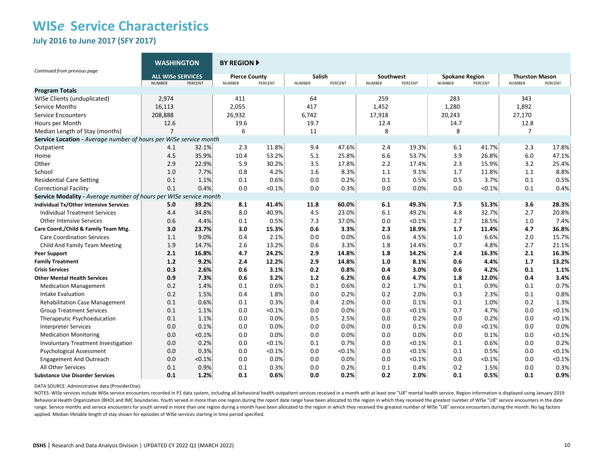### **WIS***e* **Service Characteristics July 2016 to June 2017 (SFY 2017)**

|                                                                   | <b>WASHINGTON</b>                         |         | <b>BY REGION A</b>                    |         |                                |         |                            |         |                                        |           |                                        |         |
|-------------------------------------------------------------------|-------------------------------------------|---------|---------------------------------------|---------|--------------------------------|---------|----------------------------|---------|----------------------------------------|-----------|----------------------------------------|---------|
| Continued from previous page                                      | <b>ALL WISE SERVICES</b><br><b>NUMBER</b> | PERCENT | <b>Pierce County</b><br><b>NUMBER</b> | PERCENT | <b>Salish</b><br><b>NUMBER</b> | PERCENT | Southwest<br><b>NUMBER</b> | PERCENT | <b>Spokane Region</b><br><b>NUMBER</b> | PERCENT   | <b>Thurston Mason</b><br><b>NUMBER</b> | PERCENT |
| <b>Program Totals</b>                                             |                                           |         |                                       |         |                                |         |                            |         |                                        |           |                                        |         |
| WISe Clients (unduplicated)                                       | 2,974                                     |         | 411                                   |         | 64                             |         | 259                        |         | 283                                    |           | 343                                    |         |
| <b>Service Months</b>                                             | 16,113                                    |         | 2,055                                 |         | 417                            |         | 1,452                      |         | 1,280                                  |           | 1,892                                  |         |
| <b>Service Encounters</b>                                         | 208,888                                   |         | 26,932                                |         | 6,742                          |         | 17,918                     |         | 20,243                                 |           | 27,170                                 |         |
| Hours per Month                                                   | 12.6                                      |         | 19.6                                  |         | 19.7                           |         | 12.4                       |         | 14.7                                   |           | 12.8                                   |         |
| Median Length of Stay (months)                                    | $\overline{7}$                            |         | 6                                     |         | 11                             |         | 8                          |         | 8                                      |           | $\overline{7}$                         |         |
| Service Location - Average number of hours per WISe service month |                                           |         |                                       |         |                                |         |                            |         |                                        |           |                                        |         |
| Outpatient                                                        | 4.1                                       | 32.1%   | 2.3                                   | 11.8%   | 9.4                            | 47.6%   | 2.4                        | 19.3%   | 6.1                                    | 41.7%     | 2.3                                    | 17.8%   |
| Home                                                              | 4.5                                       | 35.9%   | 10.4                                  | 53.2%   | 5.1                            | 25.8%   | 6.6                        | 53.7%   | 3.9                                    | 26.8%     | 6.0                                    | 47.1%   |
| Other                                                             | 2.9                                       | 22.9%   | 5.9                                   | 30.2%   | 3.5                            | 17.8%   | 2.2                        | 17.4%   | 2.3                                    | 15.9%     | 3.2                                    | 25.4%   |
| School                                                            | 1.0                                       | 7.7%    | 0.8                                   | 4.2%    | 1.6                            | 8.3%    | 1.1                        | 9.1%    | 1.7                                    | 11.8%     | 1.1                                    | 8.8%    |
| <b>Residential Care Setting</b>                                   | 0.1                                       | 1.1%    | 0.1                                   | 0.6%    | 0.0                            | 0.2%    | 0.1                        | 0.5%    | 0.5                                    | 3.7%      | 0.1                                    | 0.5%    |
| <b>Correctional Facility</b>                                      | 0.1                                       | 0.4%    | 0.0                                   | < 0.1%  | 0.0                            | 0.3%    | 0.0                        | 0.0%    | 0.0                                    | $< 0.1\%$ | 0.1                                    | 0.4%    |
| Service Modality - Average number of hours per WISe service month |                                           |         |                                       |         |                                |         |                            |         |                                        |           |                                        |         |
| Individual Tx/Other Intensive Services                            | 5.0                                       | 39.2%   | 8.1                                   | 41.4%   | 11.8                           | 60.0%   | 6.1                        | 49.3%   | 7.5                                    | 51.3%     | 3.6                                    | 28.3%   |
| <b>Individual Treatment Services</b>                              | 4.4                                       | 34.8%   | 8.0                                   | 40.9%   | 4.5                            | 23.0%   | 6.1                        | 49.2%   | 4.8                                    | 32.7%     | 2.7                                    | 20.8%   |
| <b>Other Intensive Services</b>                                   | 0.6                                       | 4.4%    | 0.1                                   | 0.5%    | 7.3                            | 37.0%   | 0.0                        | < 0.1%  | 2.7                                    | 18.5%     | 1.0                                    | 7.4%    |
| Care Coord./Child & Family Team Mtg.                              | 3.0                                       | 23.7%   | 3.0                                   | 15.3%   | 0.6                            | 3.3%    | 2.3                        | 18.9%   | 1.7                                    | 11.4%     | 4.7                                    | 36.8%   |
| <b>Care Coordination Services</b>                                 | 1.1                                       | 9.0%    | 0.4                                   | 2.1%    | 0.0                            | 0.0%    | 0.6                        | 4.5%    | 1.0                                    | 6.6%      | 2.0                                    | 15.7%   |
| Child And Family Team Meeting                                     | 1.9                                       | 14.7%   | 2.6                                   | 13.2%   | 0.6                            | 3.3%    | 1.8                        | 14.4%   | 0.7                                    | 4.8%      | 2.7                                    | 21.1%   |
| <b>Peer Support</b>                                               | 2.1                                       | 16.8%   | 4.7                                   | 24.2%   | 2.9                            | 14.8%   | 1.8                        | 14.2%   | 2.4                                    | 16.3%     | 2.1                                    | 16.3%   |
| <b>Family Treatment</b>                                           | 1.2                                       | 9.2%    | 2.4                                   | 12.2%   | 2.9                            | 14.8%   | 1.0                        | 8.1%    | 0.6                                    | 4.4%      | 1.7                                    | 13.2%   |
| <b>Crisis Services</b>                                            | 0.3                                       | 2.6%    | 0.6                                   | 3.1%    | 0.2                            | 0.8%    | 0.4                        | 3.0%    | 0.6                                    | 4.2%      | 0.1                                    | 1.1%    |
| <b>Other Mental Health Services</b>                               | 0.9                                       | 7.3%    | 0.6                                   | 3.2%    | 1.2                            | 6.2%    | 0.6                        | 4.7%    | 1.8                                    | 12.0%     | 0.4                                    | 3.4%    |
| <b>Medication Management</b>                                      | 0.2                                       | 1.4%    | 0.1                                   | 0.6%    | 0.1                            | 0.6%    | 0.2                        | 1.7%    | 0.1                                    | 0.9%      | 0.1                                    | 0.7%    |
| Intake Evaluation                                                 | 0.2                                       | 1.5%    | 0.4                                   | 1.8%    | 0.0                            | 0.2%    | 0.2                        | 2.0%    | 0.3                                    | 2.3%      | 0.1                                    | 0.8%    |
| <b>Rehabilitation Case Management</b>                             | 0.1                                       | 0.6%    | 0.1                                   | 0.3%    | 0.4                            | 2.0%    | 0.0                        | 0.1%    | 0.1                                    | 1.0%      | 0.2                                    | 1.3%    |
| <b>Group Treatment Services</b>                                   | 0.1                                       | 1.1%    | 0.0                                   | < 0.1%  | 0.0                            | 0.0%    | 0.0                        | < 0.1%  | 0.7                                    | 4.7%      | 0.0                                    | < 0.1%  |
| Therapeutic Psychoeducation                                       | 0.1                                       | 1.1%    | 0.0                                   | 0.0%    | 0.5                            | 2.5%    | 0.0                        | 0.2%    | 0.0                                    | 0.2%      | 0.0                                    | < 0.1%  |
| <b>Interpreter Services</b>                                       | 0.0                                       | 0.1%    | 0.0                                   | 0.0%    | 0.0                            | 0.0%    | 0.0                        | 0.1%    | 0.0                                    | < 0.1%    | 0.0                                    | 0.0%    |
| <b>Medication Monitoring</b>                                      | 0.0                                       | < 0.1%  | 0.0                                   | 0.0%    | 0.0                            | 0.0%    | 0.0                        | 0.0%    | 0.0                                    | 0.1%      | 0.0                                    | < 0.1%  |
| <b>Involuntary Treatment Investigation</b>                        | 0.0                                       | 0.2%    | 0.0                                   | < 0.1%  | 0.1                            | 0.7%    | 0.0                        | < 0.1%  | 0.1                                    | 0.6%      | 0.0                                    | 0.2%    |
| Psychological Assessment                                          | 0.0                                       | 0.3%    | 0.0                                   | < 0.1%  | 0.0                            | < 0.1%  | 0.0                        | < 0.1%  | 0.1                                    | 0.5%      | 0.0                                    | < 0.1%  |
| <b>Engagement And Outreach</b>                                    | 0.0                                       | < 0.1%  | 0.0                                   | 0.0%    | 0.0                            | 0.0%    | 0.0                        | < 0.1%  | 0.0                                    | < 0.1%    | 0.0                                    | < 0.1%  |
| <b>All Other Services</b>                                         | 0.1                                       | 0.9%    | 0.1                                   | 0.3%    | 0.0                            | 0.2%    | 0.1                        | 0.4%    | 0.2                                    | 1.5%      | 0.0                                    | 0.3%    |
| <b>Substance Use Disorder Services</b>                            | 0.1                                       | 1.2%    | 0.1                                   | 0.6%    | 0.0                            | 0.2%    | 0.2                        | 2.0%    | 0.1                                    | 0.5%      | 0.1                                    | 0.9%    |

DATA SOURCE: Administrative data (ProviderOne).

NOTES: WISe services include WISe service encounters recorded in P1 data system, including all behavioral health outpatient services received in a month with at least one "U8" mental health service. Region information is d Behavioral Health Organization (BHO) and IMC boundaries. Youth served in more than one region during the report date range have been allocated to the region in which they received the greatest number of WISe "U8" service e range. Service months and service encounters for youth served in more than one region during a month have been allocated to the region in which they received the greatest number of WISe "U8" service encounters during the m applied. Median lifetable length of stay shown for episodes of WISe services starting in time period specified.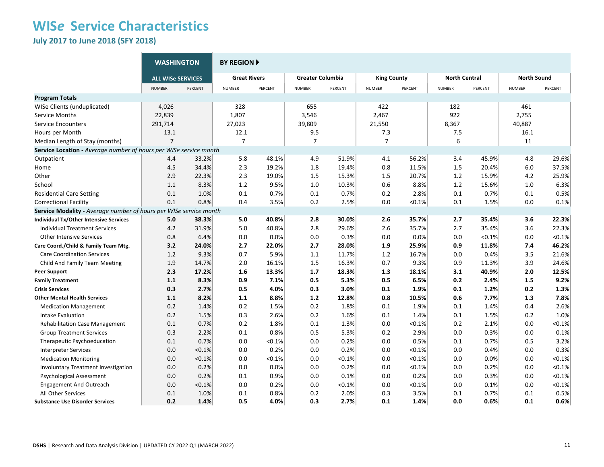**July 2017 to June 2018 (SFY 2018)**

|                                                                   | <b>WASHINGTON</b>        |         | <b>BY REGION F</b>  |         |                         |         |                    |           |                      |         |                    |         |
|-------------------------------------------------------------------|--------------------------|---------|---------------------|---------|-------------------------|---------|--------------------|-----------|----------------------|---------|--------------------|---------|
|                                                                   | <b>ALL WISe SERVICES</b> |         | <b>Great Rivers</b> |         | <b>Greater Columbia</b> |         | <b>King County</b> |           | <b>North Central</b> |         | <b>North Sound</b> |         |
|                                                                   | <b>NUMBER</b>            | PERCENT | <b>NUMBER</b>       | PERCENT | <b>NUMBER</b>           | PERCENT | <b>NUMBER</b>      | PERCENT   | <b>NUMBER</b>        | PERCENT | <b>NUMBER</b>      | PERCENT |
| <b>Program Totals</b>                                             |                          |         |                     |         |                         |         |                    |           |                      |         |                    |         |
| WISe Clients (unduplicated)                                       | 4,026                    |         | 328                 |         | 655                     |         | 422                |           | 182                  |         | 461                |         |
| Service Months                                                    | 22,839                   |         | 1,807               |         | 3,546                   |         | 2,467              |           | 922                  |         | 2,755              |         |
| <b>Service Encounters</b>                                         | 291,714                  |         | 27,023              |         | 39,809                  |         | 21,550             |           | 8,367                |         | 40,887             |         |
| Hours per Month                                                   | 13.1                     |         | 12.1                |         | 9.5                     |         | 7.3                |           | 7.5                  |         | 16.1               |         |
| Median Length of Stay (months)                                    | $\overline{7}$           |         | $\overline{7}$      |         | $\overline{7}$          |         | $\overline{7}$     |           | 6                    |         | 11                 |         |
| Service Location - Average number of hours per WISe service month |                          |         |                     |         |                         |         |                    |           |                      |         |                    |         |
| Outpatient                                                        | 4.4                      | 33.2%   | 5.8                 | 48.1%   | 4.9                     | 51.9%   | 4.1                | 56.2%     | 3.4                  | 45.9%   | 4.8                | 29.6%   |
| Home                                                              | 4.5                      | 34.4%   | 2.3                 | 19.2%   | 1.8                     | 19.4%   | 0.8                | 11.5%     | 1.5                  | 20.4%   | 6.0                | 37.5%   |
| Other                                                             | 2.9                      | 22.3%   | 2.3                 | 19.0%   | 1.5                     | 15.3%   | 1.5                | 20.7%     | 1.2                  | 15.9%   | 4.2                | 25.9%   |
| School                                                            | 1.1                      | 8.3%    | 1.2                 | 9.5%    | 1.0                     | 10.3%   | 0.6                | 8.8%      | 1.2                  | 15.6%   | 1.0                | 6.3%    |
| <b>Residential Care Setting</b>                                   | 0.1                      | 1.0%    | 0.1                 | 0.7%    | 0.1                     | 0.7%    | 0.2                | 2.8%      | 0.1                  | 0.7%    | 0.1                | 0.5%    |
| <b>Correctional Facility</b>                                      | 0.1                      | 0.8%    | 0.4                 | 3.5%    | 0.2                     | 2.5%    | 0.0                | $< 0.1\%$ | 0.1                  | 1.5%    | 0.0                | 0.1%    |
| Service Modality - Average number of hours per WISe service month |                          |         |                     |         |                         |         |                    |           |                      |         |                    |         |
| <b>Individual Tx/Other Intensive Services</b>                     | 5.0                      | 38.3%   | 5.0                 | 40.8%   | 2.8                     | 30.0%   | 2.6                | 35.7%     | 2.7                  | 35.4%   | 3.6                | 22.3%   |
| <b>Individual Treatment Services</b>                              | 4.2                      | 31.9%   | 5.0                 | 40.8%   | 2.8                     | 29.6%   | 2.6                | 35.7%     | 2.7                  | 35.4%   | 3.6                | 22.3%   |
| <b>Other Intensive Services</b>                                   | 0.8                      | 6.4%    | 0.0                 | 0.0%    | 0.0                     | 0.3%    | 0.0                | 0.0%      | 0.0                  | < 0.1%  | 0.0                | < 0.1%  |
| Care Coord./Child & Family Team Mtg.                              | 3.2                      | 24.0%   | 2.7                 | 22.0%   | 2.7                     | 28.0%   | 1.9                | 25.9%     | 0.9                  | 11.8%   | 7.4                | 46.2%   |
| <b>Care Coordination Services</b>                                 | 1.2                      | 9.3%    | 0.7                 | 5.9%    | 1.1                     | 11.7%   | 1.2                | 16.7%     | 0.0                  | 0.4%    | 3.5                | 21.6%   |
| Child And Family Team Meeting                                     | 1.9                      | 14.7%   | 2.0                 | 16.1%   | 1.5                     | 16.3%   | 0.7                | 9.3%      | 0.9                  | 11.3%   | 3.9                | 24.6%   |
| <b>Peer Support</b>                                               | 2.3                      | 17.2%   | 1.6                 | 13.3%   | 1.7                     | 18.3%   | 1.3                | 18.1%     | 3.1                  | 40.9%   | 2.0                | 12.5%   |
| <b>Family Treatment</b>                                           | 1.1                      | 8.3%    | 0.9                 | 7.1%    | 0.5                     | 5.3%    | 0.5                | 6.5%      | 0.2                  | 2.4%    | 1.5                | 9.2%    |
| <b>Crisis Services</b>                                            | 0.3                      | 2.7%    | 0.5                 | 4.0%    | 0.3                     | 3.0%    | 0.1                | 1.9%      | 0.1                  | 1.2%    | 0.2                | 1.3%    |
| <b>Other Mental Health Services</b>                               | 1.1                      | 8.2%    | 1.1                 | 8.8%    | 1.2                     | 12.8%   | 0.8                | 10.5%     | 0.6                  | 7.7%    | 1.3                | 7.8%    |
| <b>Medication Management</b>                                      | 0.2                      | 1.4%    | 0.2                 | 1.5%    | 0.2                     | 1.8%    | 0.1                | 1.9%      | 0.1                  | 1.4%    | 0.4                | 2.6%    |
| Intake Evaluation                                                 | 0.2                      | 1.5%    | 0.3                 | 2.6%    | 0.2                     | 1.6%    | 0.1                | 1.4%      | 0.1                  | 1.5%    | 0.2                | 1.0%    |
| <b>Rehabilitation Case Management</b>                             | 0.1                      | 0.7%    | 0.2                 | 1.8%    | 0.1                     | 1.3%    | 0.0                | < 0.1%    | 0.2                  | 2.1%    | 0.0                | < 0.1%  |
| <b>Group Treatment Services</b>                                   | 0.3                      | 2.2%    | 0.1                 | 0.8%    | 0.5                     | 5.3%    | 0.2                | 2.9%      | 0.0                  | 0.3%    | 0.0                | 0.1%    |
| Therapeutic Psychoeducation                                       | 0.1                      | 0.7%    | 0.0                 | < 0.1%  | 0.0                     | 0.2%    | 0.0                | 0.5%      | 0.1                  | 0.7%    | 0.5                | 3.2%    |
| <b>Interpreter Services</b>                                       | 0.0                      | < 0.1%  | 0.0                 | 0.2%    | 0.0                     | 0.2%    | 0.0                | < 0.1%    | 0.0                  | 0.4%    | 0.0                | 0.3%    |
| <b>Medication Monitoring</b>                                      | 0.0                      | < 0.1%  | 0.0                 | < 0.1%  | 0.0                     | < 0.1%  | 0.0                | < 0.1%    | 0.0                  | 0.0%    | 0.0                | < 0.1%  |
| <b>Involuntary Treatment Investigation</b>                        | 0.0                      | 0.2%    | 0.0                 | 0.0%    | 0.0                     | 0.2%    | 0.0                | < 0.1%    | 0.0                  | 0.2%    | 0.0                | < 0.1%  |
| <b>Psychological Assessment</b>                                   | 0.0                      | 0.2%    | 0.1                 | 0.9%    | 0.0                     | 0.1%    | 0.0                | 0.2%      | 0.0                  | 0.3%    | 0.0                | < 0.1%  |
| <b>Engagement And Outreach</b>                                    | 0.0                      | < 0.1%  | 0.0                 | 0.2%    | 0.0                     | < 0.1%  | 0.0                | < 0.1%    | 0.0                  | 0.1%    | 0.0                | < 0.1%  |
| All Other Services                                                | 0.1                      | 1.0%    | 0.1                 | $0.8\%$ | 0.2                     | 2.0%    | 0.3                | 3.5%      | 0.1                  | 0.7%    | 0.1                | 0.5%    |
| <b>Substance Use Disorder Services</b>                            | 0.2                      | 1.4%    | 0.5                 | 4.0%    | 0.3                     | 2.7%    | 0.1                | 1.4%      | 0.0                  | 0.6%    | 0.1                | 0.6%    |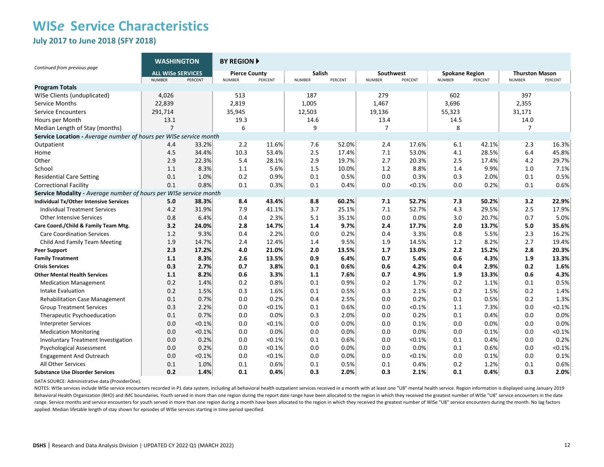### **WIS***e* **Service Characteristics July 2017 to June 2018 (SFY 2018)**

| Continued from previous page                                      | <b>WASHINGTON</b>                         |         | <b>BY REGION A</b>                    |           |                                |         |                            |         |                                        |         |                                        |         |
|-------------------------------------------------------------------|-------------------------------------------|---------|---------------------------------------|-----------|--------------------------------|---------|----------------------------|---------|----------------------------------------|---------|----------------------------------------|---------|
|                                                                   | <b>ALL WISe SERVICES</b><br><b>NUMBER</b> | PERCENT | <b>Pierce County</b><br><b>NUMBER</b> | PERCENT   | <b>Salish</b><br><b>NUMBER</b> | PERCENT | Southwest<br><b>NUMBER</b> | PERCENT | <b>Spokane Region</b><br><b>NUMBER</b> | PERCENT | <b>Thurston Mason</b><br><b>NUMBER</b> | PERCENT |
| <b>Program Totals</b>                                             |                                           |         |                                       |           |                                |         |                            |         |                                        |         |                                        |         |
| WISe Clients (unduplicated)                                       | 4,026                                     |         | 513                                   |           | 187                            |         | 279                        |         | 602                                    |         | 397                                    |         |
| Service Months                                                    | 22,839                                    |         | 2,819                                 |           | 1,005                          |         | 1,467                      |         | 3,696                                  |         | 2,355                                  |         |
| <b>Service Encounters</b>                                         | 291,714                                   |         | 35,945                                |           | 12,503                         |         | 19,136                     |         | 55,323                                 |         | 31,171                                 |         |
| Hours per Month                                                   | 13.1                                      |         | 19.3                                  |           | 14.6                           |         | 13.4                       |         | 14.5                                   |         | 14.0                                   |         |
| Median Length of Stay (months)                                    | $\overline{7}$                            |         | 6                                     |           | 9                              |         | 7                          |         | 8                                      |         | 7                                      |         |
| Service Location - Average number of hours per WISe service month |                                           |         |                                       |           |                                |         |                            |         |                                        |         |                                        |         |
| Outpatient                                                        | 4.4                                       | 33.2%   | 2.2                                   | 11.6%     | 7.6                            | 52.0%   | 2.4                        | 17.6%   | 6.1                                    | 42.1%   | 2.3                                    | 16.3%   |
| Home                                                              | 4.5                                       | 34.4%   | 10.3                                  | 53.4%     | 2.5                            | 17.4%   | 7.1                        | 53.0%   | 4.1                                    | 28.5%   | 6.4                                    | 45.8%   |
| Other                                                             | 2.9                                       | 22.3%   | 5.4                                   | 28.1%     | 2.9                            | 19.7%   | 2.7                        | 20.3%   | 2.5                                    | 17.4%   | 4.2                                    | 29.7%   |
| School                                                            | 1.1                                       | 8.3%    | 1.1                                   | 5.6%      | 1.5                            | 10.0%   | 1.2                        | 8.8%    | 1.4                                    | 9.9%    | 1.0                                    | 7.1%    |
| <b>Residential Care Setting</b>                                   | 0.1                                       | 1.0%    | 0.2                                   | 0.9%      | 0.1                            | 0.5%    | 0.0                        | 0.3%    | 0.3                                    | 2.0%    | 0.1                                    | 0.5%    |
| <b>Correctional Facility</b>                                      | 0.1                                       | 0.8%    | 0.1                                   | 0.3%      | 0.1                            | 0.4%    | 0.0                        | < 0.1%  | 0.0                                    | 0.2%    | 0.1                                    | 0.6%    |
| Service Modality - Average number of hours per WISe service month |                                           |         |                                       |           |                                |         |                            |         |                                        |         |                                        |         |
| Individual Tx/Other Intensive Services                            | 5.0                                       | 38.3%   | 8.4                                   | 43.4%     | 8.8                            | 60.2%   | 7.1                        | 52.7%   | 7.3                                    | 50.2%   | 3.2                                    | 22.9%   |
| <b>Individual Treatment Services</b>                              | 4.2                                       | 31.9%   | 7.9                                   | 41.1%     | 3.7                            | 25.1%   | 7.1                        | 52.7%   | 4.3                                    | 29.5%   | 2.5                                    | 17.9%   |
| <b>Other Intensive Services</b>                                   | 0.8                                       | 6.4%    | 0.4                                   | 2.3%      | 5.1                            | 35.1%   | 0.0                        | 0.0%    | 3.0                                    | 20.7%   | 0.7                                    | 5.0%    |
| Care Coord./Child & Family Team Mtg.                              | 3.2                                       | 24.0%   | 2.8                                   | 14.7%     | 1.4                            | 9.7%    | 2.4                        | 17.7%   | 2.0                                    | 13.7%   | 5.0                                    | 35.6%   |
| <b>Care Coordination Services</b>                                 | 1.2                                       | 9.3%    | 0.4                                   | 2.2%      | 0.0                            | 0.2%    | 0.4                        | 3.3%    | 0.8                                    | 5.5%    | 2.3                                    | 16.2%   |
| Child And Family Team Meeting                                     | 1.9                                       | 14.7%   | 2.4                                   | 12.4%     | 1.4                            | 9.5%    | 1.9                        | 14.5%   | 1.2                                    | 8.2%    | 2.7                                    | 19.4%   |
| <b>Peer Support</b>                                               | 2.3                                       | 17.2%   | 4.0                                   | 21.0%     | 2.0                            | 13.5%   | 1.7                        | 13.0%   | 2.2                                    | 15.2%   | 2.8                                    | 20.3%   |
| <b>Family Treatment</b>                                           | 1.1                                       | 8.3%    | 2.6                                   | 13.5%     | 0.9                            | 6.4%    | 0.7                        | 5.4%    | 0.6                                    | 4.3%    | 1.9                                    | 13.3%   |
| <b>Crisis Services</b>                                            | 0.3                                       | 2.7%    | 0.7                                   | 3.8%      | 0.1                            | 0.6%    | 0.6                        | 4.2%    | 0.4                                    | 2.9%    | 0.2                                    | 1.6%    |
| <b>Other Mental Health Services</b>                               | 1.1                                       | 8.2%    | 0.6                                   | 3.3%      | 1.1                            | 7.6%    | 0.7                        | 4.9%    | 1.9                                    | 13.3%   | 0.6                                    | 4.3%    |
| <b>Medication Management</b>                                      | 0.2                                       | 1.4%    | 0.2                                   | 0.8%      | 0.1                            | 0.9%    | 0.2                        | 1.7%    | 0.2                                    | 1.1%    | 0.1                                    | 0.5%    |
| Intake Evaluation                                                 | 0.2                                       | 1.5%    | 0.3                                   | 1.6%      | 0.1                            | 0.5%    | 0.3                        | 2.1%    | 0.2                                    | 1.5%    | 0.2                                    | 1.4%    |
| <b>Rehabilitation Case Management</b>                             | 0.1                                       | 0.7%    | 0.0                                   | 0.2%      | 0.4                            | 2.5%    | 0.0                        | 0.2%    | 0.1                                    | 0.5%    | 0.2                                    | 1.3%    |
| <b>Group Treatment Services</b>                                   | 0.3                                       | 2.2%    | 0.0                                   | < 0.1%    | 0.1                            | 0.6%    | 0.0                        | < 0.1%  | 1.1                                    | 7.3%    | 0.0                                    | < 0.1%  |
| Therapeutic Psychoeducation                                       | 0.1                                       | 0.7%    | 0.0                                   | 0.0%      | 0.3                            | 2.0%    | 0.0                        | 0.2%    | 0.1                                    | 0.4%    | 0.0                                    | 0.0%    |
| <b>Interpreter Services</b>                                       | 0.0                                       | < 0.1%  | 0.0                                   | < 0.1%    | 0.0                            | 0.0%    | 0.0                        | 0.1%    | 0.0                                    | 0.0%    | 0.0                                    | 0.0%    |
| <b>Medication Monitoring</b>                                      | 0.0                                       | < 0.1%  | 0.0                                   | 0.0%      | 0.0                            | 0.0%    | 0.0                        | 0.0%    | 0.0                                    | 0.1%    | 0.0                                    | < 0.1%  |
| Involuntary Treatment Investigation                               | 0.0                                       | 0.2%    | 0.0                                   | < 0.1%    | 0.1                            | 0.6%    | 0.0                        | <0.1%   | 0.1                                    | 0.4%    | 0.0                                    | 0.2%    |
| Psychological Assessment                                          | 0.0                                       | 0.2%    | 0.0                                   | < 0.1%    | 0.0                            | 0.0%    | 0.0                        | 0.0%    | 0.1                                    | 0.6%    | 0.0                                    | < 0.1%  |
| <b>Engagement And Outreach</b>                                    | 0.0                                       | < 0.1%  | 0.0                                   | $< 0.1\%$ | 0.0                            | 0.0%    | 0.0                        | < 0.1%  | 0.0                                    | 0.1%    | 0.0                                    | 0.1%    |
| All Other Services                                                | 0.1                                       | 1.0%    | 0.1                                   | 0.6%      | 0.1                            | 0.5%    | 0.1                        | 0.4%    | 0.2                                    | 1.2%    | 0.1                                    | 0.6%    |
| <b>Substance Use Disorder Services</b>                            | 0.2                                       | 1.4%    | 0.1                                   | 0.4%      | 0.3                            | 2.0%    | 0.3                        | 2.1%    | 0.1                                    | 0.4%    | 0.3                                    | 2.0%    |

DATA SOURCE: Administrative data (ProviderOne).

NOTES: WISe services include WISe service encounters recorded in P1 data system, including all behavioral health outpatient services received in a month with at least one "U8" mental health service. Region information is d Behavioral Health Organization (BHO) and IMC boundaries. Youth served in more than one region during the report date range have been allocated to the region in which they received the greatest number of WISe "U8" service e range. Service months and service encounters for youth served in more than one region during a month have been allocated to the region in which they received the greatest number of WISe "U8" service encounters during the m applied. Median lifetable length of stay shown for episodes of WISe services starting in time period specified.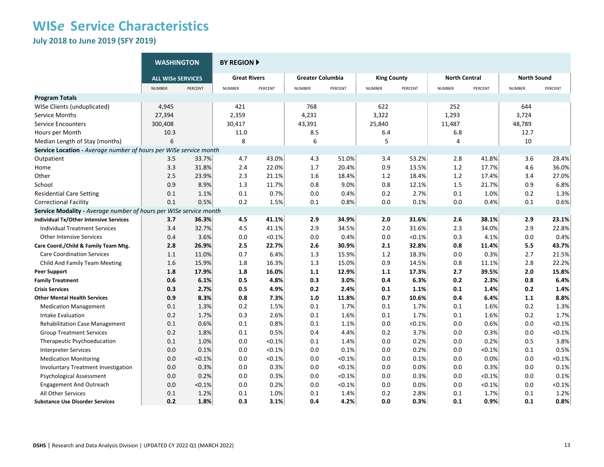**July 2018 to June 2019 (SFY 2019)**

|                                                                   | <b>WASHINGTON</b>        |         | <b>BY REGION F</b>  |         |                         |         |                    |         |                      |         |                    |         |
|-------------------------------------------------------------------|--------------------------|---------|---------------------|---------|-------------------------|---------|--------------------|---------|----------------------|---------|--------------------|---------|
|                                                                   | <b>ALL WISE SERVICES</b> |         | <b>Great Rivers</b> |         | <b>Greater Columbia</b> |         | <b>King County</b> |         | <b>North Central</b> |         | <b>North Sound</b> |         |
|                                                                   | <b>NUMBER</b>            | PERCENT | <b>NUMBER</b>       | PERCENT | <b>NUMBER</b>           | PERCENT | NUMBER             | PERCENT | <b>NUMBER</b>        | PERCENT | <b>NUMBER</b>      | PERCENT |
| <b>Program Totals</b>                                             |                          |         |                     |         |                         |         |                    |         |                      |         |                    |         |
| WISe Clients (unduplicated)                                       | 4,945                    |         | 421                 |         | 768                     |         | 622                |         | 252                  |         | 644                |         |
| Service Months                                                    | 27,394                   |         | 2,359               |         | 4,231                   |         | 3,322              |         | 1,293                |         | 3,724              |         |
| <b>Service Encounters</b>                                         | 300,408                  |         | 30,417              |         | 43,391                  |         | 25,840             |         | 11,487               |         | 48,789             |         |
| Hours per Month                                                   | 10.3                     |         | 11.0                |         | 8.5                     |         | 6.4                |         | 6.8                  |         | 12.7               |         |
| Median Length of Stay (months)                                    | 6                        |         | 8                   |         | 6                       |         | 5                  |         | 4                    |         | 10                 |         |
| Service Location - Average number of hours per WISe service month |                          |         |                     |         |                         |         |                    |         |                      |         |                    |         |
| Outpatient                                                        | 3.5                      | 33.7%   | 4.7                 | 43.0%   | 4.3                     | 51.0%   | 3.4                | 53.2%   | 2.8                  | 41.8%   | 3.6                | 28.4%   |
| Home                                                              | 3.3                      | 31.8%   | 2.4                 | 22.0%   | 1.7                     | 20.4%   | 0.9                | 13.5%   | $1.2\,$              | 17.7%   | 4.6                | 36.0%   |
| Other                                                             | 2.5                      | 23.9%   | 2.3                 | 21.1%   | 1.6                     | 18.4%   | 1.2                | 18.4%   | $1.2\,$              | 17.4%   | 3.4                | 27.0%   |
| School                                                            | 0.9                      | 8.9%    | 1.3                 | 11.7%   | 0.8                     | 9.0%    | 0.8                | 12.1%   | 1.5                  | 21.7%   | 0.9                | 6.8%    |
| <b>Residential Care Setting</b>                                   | 0.1                      | 1.1%    | 0.1                 | 0.7%    | 0.0                     | 0.4%    | 0.2                | 2.7%    | 0.1                  | 1.0%    | 0.2                | 1.3%    |
| <b>Correctional Facility</b>                                      | 0.1                      | 0.5%    | 0.2                 | 1.5%    | 0.1                     | 0.8%    | 0.0                | 0.1%    | 0.0                  | 0.4%    | 0.1                | 0.6%    |
| Service Modality - Average number of hours per WISe service month |                          |         |                     |         |                         |         |                    |         |                      |         |                    |         |
| <b>Individual Tx/Other Intensive Services</b>                     | 3.7                      | 36.3%   | 4.5                 | 41.1%   | 2.9                     | 34.9%   | 2.0                | 31.6%   | 2.6                  | 38.1%   | 2.9                | 23.1%   |
| <b>Individual Treatment Services</b>                              | 3.4                      | 32.7%   | 4.5                 | 41.1%   | 2.9                     | 34.5%   | 2.0                | 31.6%   | 2.3                  | 34.0%   | 2.9                | 22.8%   |
| <b>Other Intensive Services</b>                                   | 0.4                      | 3.6%    | 0.0                 | < 0.1%  | 0.0                     | 0.4%    | 0.0                | < 0.1%  | 0.3                  | 4.1%    | 0.0                | 0.4%    |
| Care Coord./Child & Family Team Mtg.                              | 2.8                      | 26.9%   | 2.5                 | 22.7%   | 2.6                     | 30.9%   | 2.1                | 32.8%   | 0.8                  | 11.4%   | 5.5                | 43.7%   |
| <b>Care Coordination Services</b>                                 | 1.1                      | 11.0%   | 0.7                 | 6.4%    | 1.3                     | 15.9%   | 1.2                | 18.3%   | 0.0                  | 0.3%    | 2.7                | 21.5%   |
| Child And Family Team Meeting                                     | 1.6                      | 15.9%   | 1.8                 | 16.3%   | 1.3                     | 15.0%   | 0.9                | 14.5%   | 0.8                  | 11.1%   | 2.8                | 22.2%   |
| <b>Peer Support</b>                                               | 1.8                      | 17.9%   | 1.8                 | 16.0%   | 1.1                     | 12.9%   | 1.1                | 17.3%   | 2.7                  | 39.5%   | 2.0                | 15.8%   |
| <b>Family Treatment</b>                                           | 0.6                      | 6.1%    | 0.5                 | 4.8%    | 0.3                     | 3.0%    | 0.4                | 6.3%    | 0.2                  | 2.3%    | 0.8                | 6.4%    |
| <b>Crisis Services</b>                                            | 0.3                      | 2.7%    | 0.5                 | 4.9%    | 0.2                     | 2.4%    | 0.1                | 1.1%    | 0.1                  | 1.4%    | 0.2                | 1.4%    |
| <b>Other Mental Health Services</b>                               | 0.9                      | 8.3%    | 0.8                 | 7.3%    | 1.0                     | 11.8%   | 0.7                | 10.6%   | 0.4                  | 6.4%    | 1.1                | 8.8%    |
| <b>Medication Management</b>                                      | 0.1                      | 1.3%    | 0.2                 | 1.5%    | 0.1                     | 1.7%    | 0.1                | 1.7%    | 0.1                  | 1.6%    | 0.2                | 1.3%    |
| Intake Evaluation                                                 | 0.2                      | 1.7%    | 0.3                 | 2.6%    | 0.1                     | 1.6%    | 0.1                | 1.7%    | 0.1                  | 1.6%    | 0.2                | 1.7%    |
| <b>Rehabilitation Case Management</b>                             | 0.1                      | 0.6%    | 0.1                 | 0.8%    | 0.1                     | 1.1%    | 0.0                | < 0.1%  | 0.0                  | 0.6%    | 0.0                | < 0.1%  |
| <b>Group Treatment Services</b>                                   | 0.2                      | 1.8%    | 0.1                 | 0.5%    | 0.4                     | 4.4%    | 0.2                | 3.7%    | 0.0                  | 0.3%    | 0.0                | < 0.1%  |
| Therapeutic Psychoeducation                                       | 0.1                      | 1.0%    | 0.0                 | < 0.1%  | 0.1                     | 1.4%    | 0.0                | 0.2%    | 0.0                  | 0.2%    | 0.5                | 3.8%    |
| <b>Interpreter Services</b>                                       | 0.0                      | 0.1%    | 0.0                 | < 0.1%  | 0.0                     | 0.1%    | 0.0                | 0.2%    | 0.0                  | < 0.1%  | 0.1                | 0.5%    |
| <b>Medication Monitoring</b>                                      | 0.0                      | < 0.1%  | 0.0                 | < 0.1%  | 0.0                     | < 0.1%  | 0.0                | 0.1%    | 0.0                  | 0.0%    | 0.0                | < 0.1%  |
| <b>Involuntary Treatment Investigation</b>                        | 0.0                      | 0.3%    | 0.0                 | 0.3%    | 0.0                     | < 0.1%  | 0.0                | 0.0%    | 0.0                  | 0.3%    | 0.0                | 0.1%    |
| <b>Psychological Assessment</b>                                   | 0.0                      | 0.2%    | 0.0                 | 0.3%    | 0.0                     | < 0.1%  | 0.0                | 0.3%    | 0.0                  | < 0.1%  | 0.0                | 0.1%    |
| <b>Engagement And Outreach</b>                                    | 0.0                      | < 0.1%  | 0.0                 | 0.2%    | 0.0                     | < 0.1%  | 0.0                | 0.0%    | 0.0                  | < 0.1%  | 0.0                | < 0.1%  |
| All Other Services                                                | 0.1                      | 1.2%    | 0.1                 | 1.0%    | 0.1                     | 1.4%    | 0.2                | 2.8%    | 0.1                  | 1.7%    | 0.1                | 1.2%    |
| <b>Substance Use Disorder Services</b>                            | 0.2                      | 1.8%    | 0.3                 | 3.1%    | 0.4                     | 4.2%    | 0.0                | 0.3%    | 0.1                  | 0.9%    | 0.1                | 0.8%    |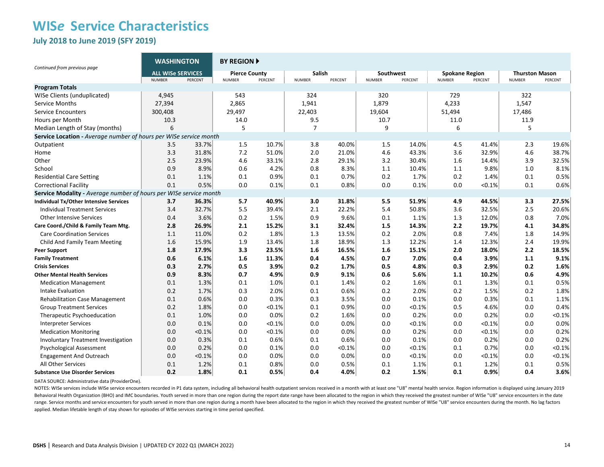**July 2018 to June 2019 (SFY 2019)**

| Continued from previous page                                      | <b>WASHINGTON</b>                         |           | <b>BY REGION A</b>                    |         |                         |         |                            |         |                                        |         |                                        |           |
|-------------------------------------------------------------------|-------------------------------------------|-----------|---------------------------------------|---------|-------------------------|---------|----------------------------|---------|----------------------------------------|---------|----------------------------------------|-----------|
|                                                                   | <b>ALL WISe SERVICES</b><br><b>NUMBER</b> | PERCENT   | <b>Pierce County</b><br><b>NUMBER</b> | PERCENT | Salish<br><b>NUMBER</b> | PERCENT | Southwest<br><b>NUMBER</b> | PERCENT | <b>Spokane Region</b><br><b>NUMBER</b> | PERCENT | <b>Thurston Mason</b><br><b>NUMBER</b> | PERCENT   |
| <b>Program Totals</b>                                             |                                           |           |                                       |         |                         |         |                            |         |                                        |         |                                        |           |
| WISe Clients (unduplicated)                                       | 4,945                                     |           | 543                                   |         | 324                     |         | 320                        |         | 729                                    |         | 322                                    |           |
| <b>Service Months</b>                                             | 27,394                                    |           | 2,865                                 |         | 1,941                   |         | 1,879                      |         | 4,233                                  |         | 1,547                                  |           |
| Service Encounters                                                | 300,408                                   |           | 29,497                                |         | 22,403                  |         | 19,604                     |         | 51,494                                 |         | 17,486                                 |           |
| Hours per Month                                                   | 10.3                                      |           | 14.0                                  |         | 9.5                     |         | 10.7                       |         | 11.0                                   |         | 11.9                                   |           |
| Median Length of Stay (months)                                    | 6                                         |           | 5                                     |         | $\overline{7}$          |         | 9                          |         | 6                                      |         | 5                                      |           |
| Service Location - Average number of hours per WISe service month |                                           |           |                                       |         |                         |         |                            |         |                                        |         |                                        |           |
| Outpatient                                                        | 3.5                                       | 33.7%     | 1.5                                   | 10.7%   | 3.8                     | 40.0%   | 1.5                        | 14.0%   | 4.5                                    | 41.4%   | 2.3                                    | 19.6%     |
| Home                                                              | 3.3                                       | 31.8%     | 7.2                                   | 51.0%   | 2.0                     | 21.0%   | 4.6                        | 43.3%   | 3.6                                    | 32.9%   | 4.6                                    | 38.7%     |
| Other                                                             | 2.5                                       | 23.9%     | 4.6                                   | 33.1%   | 2.8                     | 29.1%   | 3.2                        | 30.4%   | 1.6                                    | 14.4%   | 3.9                                    | 32.5%     |
| School                                                            | 0.9                                       | 8.9%      | 0.6                                   | 4.2%    | 0.8                     | 8.3%    | 1.1                        | 10.4%   | 1.1                                    | 9.8%    | 1.0                                    | 8.1%      |
| <b>Residential Care Setting</b>                                   | 0.1                                       | 1.1%      | 0.1                                   | 0.9%    | 0.1                     | 0.7%    | 0.2                        | 1.7%    | 0.2                                    | 1.4%    | 0.1                                    | 0.5%      |
| <b>Correctional Facility</b>                                      | 0.1                                       | 0.5%      | 0.0                                   | 0.1%    | 0.1                     | 0.8%    | 0.0                        | 0.1%    | 0.0                                    | < 0.1%  | 0.1                                    | 0.6%      |
| Service Modality - Average number of hours per WISe service month |                                           |           |                                       |         |                         |         |                            |         |                                        |         |                                        |           |
| Individual Tx/Other Intensive Services                            | 3.7                                       | 36.3%     | 5.7                                   | 40.9%   | 3.0                     | 31.8%   | 5.5                        | 51.9%   | 4.9                                    | 44.5%   | 3.3                                    | 27.5%     |
| <b>Individual Treatment Services</b>                              | 3.4                                       | 32.7%     | 5.5                                   | 39.4%   | 2.1                     | 22.2%   | 5.4                        | 50.8%   | 3.6                                    | 32.5%   | 2.5                                    | 20.6%     |
| <b>Other Intensive Services</b>                                   | 0.4                                       | 3.6%      | 0.2                                   | 1.5%    | 0.9                     | 9.6%    | 0.1                        | 1.1%    | 1.3                                    | 12.0%   | 0.8                                    | 7.0%      |
| Care Coord./Child & Family Team Mtg.                              | 2.8                                       | 26.9%     | 2.1                                   | 15.2%   | 3.1                     | 32.4%   | 1.5                        | 14.3%   | 2.2                                    | 19.7%   | 4.1                                    | 34.8%     |
| <b>Care Coordination Services</b>                                 | 1.1                                       | 11.0%     | 0.2                                   | 1.8%    | 1.3                     | 13.5%   | 0.2                        | 2.0%    | 0.8                                    | 7.4%    | 1.8                                    | 14.9%     |
| Child And Family Team Meeting                                     | 1.6                                       | 15.9%     | 1.9                                   | 13.4%   | 1.8                     | 18.9%   | 1.3                        | 12.2%   | 1.4                                    | 12.3%   | 2.4                                    | 19.9%     |
| Peer Support                                                      | 1.8                                       | 17.9%     | 3.3                                   | 23.5%   | 1.6                     | 16.5%   | 1.6                        | 15.1%   | 2.0                                    | 18.0%   | 2.2                                    | 18.5%     |
| <b>Family Treatment</b>                                           | 0.6                                       | 6.1%      | 1.6                                   | 11.3%   | 0.4                     | 4.5%    | 0.7                        | 7.0%    | 0.4                                    | 3.9%    | 1.1                                    | 9.1%      |
| <b>Crisis Services</b>                                            | 0.3                                       | 2.7%      | 0.5                                   | 3.9%    | 0.2                     | 1.7%    | 0.5                        | 4.8%    | 0.3                                    | 2.9%    | 0.2                                    | 1.6%      |
| <b>Other Mental Health Services</b>                               | 0.9                                       | 8.3%      | 0.7                                   | 4.9%    | 0.9                     | 9.1%    | 0.6                        | 5.6%    | 1.1                                    | 10.2%   | 0.6                                    | 4.9%      |
| <b>Medication Management</b>                                      | 0.1                                       | 1.3%      | 0.1                                   | 1.0%    | 0.1                     | 1.4%    | 0.2                        | 1.6%    | 0.1                                    | 1.3%    | 0.1                                    | 0.5%      |
| <b>Intake Evaluation</b>                                          | 0.2                                       | 1.7%      | 0.3                                   | 2.0%    | 0.1                     | 0.6%    | 0.2                        | 2.0%    | 0.2                                    | 1.5%    | 0.2                                    | 1.8%      |
| <b>Rehabilitation Case Management</b>                             | 0.1                                       | 0.6%      | 0.0                                   | 0.3%    | 0.3                     | 3.5%    | 0.0                        | 0.1%    | 0.0                                    | 0.3%    | 0.1                                    | 1.1%      |
| <b>Group Treatment Services</b>                                   | 0.2                                       | 1.8%      | 0.0                                   | < 0.1%  | 0.1                     | 0.9%    | 0.0                        | < 0.1%  | 0.5                                    | 4.6%    | 0.0                                    | 0.4%      |
| Therapeutic Psychoeducation                                       | 0.1                                       | 1.0%      | 0.0                                   | 0.0%    | 0.2                     | 1.6%    | 0.0                        | 0.2%    | 0.0                                    | 0.2%    | 0.0                                    | < 0.1%    |
| <b>Interpreter Services</b>                                       | 0.0                                       | 0.1%      | 0.0                                   | < 0.1%  | 0.0                     | 0.0%    | 0.0                        | < 0.1%  | 0.0                                    | < 0.1%  | 0.0                                    | 0.0%      |
| <b>Medication Monitoring</b>                                      | 0.0                                       | $< 0.1\%$ | 0.0                                   | < 0.1%  | 0.0                     | 0.0%    | 0.0                        | 0.2%    | 0.0                                    | < 0.1%  | 0.0                                    | 0.2%      |
| <b>Involuntary Treatment Investigation</b>                        | 0.0                                       | 0.3%      | 0.1                                   | 0.6%    | 0.1                     | 0.6%    | 0.0                        | 0.1%    | 0.0                                    | 0.2%    | 0.0                                    | 0.2%      |
| <b>Psychological Assessment</b>                                   | 0.0                                       | 0.2%      | 0.0                                   | 0.1%    | 0.0                     | < 0.1%  | 0.0                        | < 0.1%  | 0.1                                    | 0.7%    | 0.0                                    | < 0.1%    |
| <b>Engagement And Outreach</b>                                    | 0.0                                       | < 0.1%    | 0.0                                   | 0.0%    | 0.0                     | 0.0%    | 0.0                        | < 0.1%  | 0.0                                    | < 0.1%  | 0.0                                    | $< 0.1\%$ |
| All Other Services                                                | 0.1                                       | 1.2%      | 0.1                                   | 0.8%    | 0.0                     | 0.5%    | 0.1                        | 1.1%    | 0.1                                    | 1.2%    | 0.1                                    | 0.5%      |
| <b>Substance Use Disorder Services</b>                            | 0.2                                       | 1.8%      | 0.1                                   | 0.5%    | 0.4                     | 4.0%    | 0.2                        | 1.5%    | 0.1                                    | 0.9%    | 0.4                                    | 3.6%      |

DATA SOURCE: Administrative data (ProviderOne).

NOTES: WISe services include WISe service encounters recorded in P1 data system, including all behavioral health outpatient services received in a month with at least one "U8" mental health service. Region information is d Behavioral Health Organization (BHO) and IMC boundaries. Youth served in more than one region during the report date range have been allocated to the region in which they received the greatest number of WISe "U8" service e range. Service months and service encounters for youth served in more than one region during a month have been allocated to the region in which they received the greatest number of WISe "U8" service encounters during the m applied. Median lifetable length of stay shown for episodes of WISe services starting in time period specified.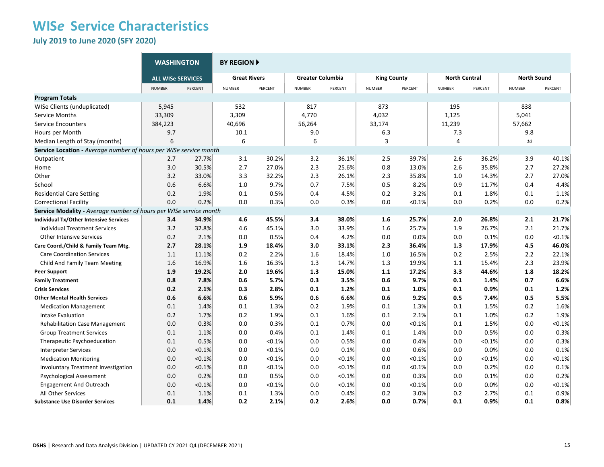**July 2019 to June 2020 (SFY 2020)**

|                                                                   | <b>WASHINGTON</b>        |         | <b>BY REGION F</b>  |           |                         |         |                    |           |                      |         |                    |           |  |
|-------------------------------------------------------------------|--------------------------|---------|---------------------|-----------|-------------------------|---------|--------------------|-----------|----------------------|---------|--------------------|-----------|--|
|                                                                   | <b>ALL WISe SERVICES</b> |         | <b>Great Rivers</b> |           | <b>Greater Columbia</b> |         | <b>King County</b> |           | <b>North Central</b> |         | <b>North Sound</b> |           |  |
|                                                                   | <b>NUMBER</b>            | PERCENT | <b>NUMBER</b>       | PERCENT   | <b>NUMBER</b>           | PERCENT | <b>NUMBER</b>      | PERCENT   | <b>NUMBER</b>        | PERCENT | <b>NUMBER</b>      | PERCENT   |  |
| <b>Program Totals</b>                                             |                          |         |                     |           |                         |         |                    |           |                      |         |                    |           |  |
| WISe Clients (unduplicated)                                       | 5,945                    |         | 532                 |           | 817                     |         | 873                |           | 195                  |         | 838                |           |  |
| Service Months                                                    | 33,309                   |         | 3,309               |           | 4,770                   |         | 4,032              |           | 1,125                |         | 5,041              |           |  |
| <b>Service Encounters</b>                                         | 384,223                  |         | 40,696              |           | 56,264                  |         | 33,174             |           | 11,239               |         | 57,662             |           |  |
| Hours per Month                                                   | 9.7                      |         | 10.1                |           | 9.0                     |         | 6.3                |           | 7.3                  |         | 9.8                |           |  |
| Median Length of Stay (months)                                    | 6                        |         | 6                   |           | 6                       |         | 3                  |           | 4                    |         | 10                 |           |  |
| Service Location - Average number of hours per WISe service month |                          |         |                     |           |                         |         |                    |           |                      |         |                    |           |  |
| Outpatient                                                        | 2.7                      | 27.7%   | 3.1                 | 30.2%     | 3.2                     | 36.1%   | 2.5                | 39.7%     | 2.6                  | 36.2%   | 3.9                | 40.1%     |  |
| Home                                                              | 3.0                      | 30.5%   | 2.7                 | 27.0%     | 2.3                     | 25.6%   | 0.8                | 13.0%     | 2.6                  | 35.8%   | 2.7                | 27.2%     |  |
| Other                                                             | 3.2                      | 33.0%   | 3.3                 | 32.2%     | 2.3                     | 26.1%   | 2.3                | 35.8%     | 1.0                  | 14.3%   | 2.7                | 27.0%     |  |
| School                                                            | 0.6                      | 6.6%    | 1.0                 | 9.7%      | 0.7                     | 7.5%    | 0.5                | 8.2%      | 0.9                  | 11.7%   | 0.4                | 4.4%      |  |
| <b>Residential Care Setting</b>                                   | 0.2                      | 1.9%    | 0.1                 | 0.5%      | 0.4                     | 4.5%    | 0.2                | 3.2%      | 0.1                  | 1.8%    | 0.1                | 1.1%      |  |
| <b>Correctional Facility</b>                                      | 0.0                      | 0.2%    | 0.0                 | 0.3%      | 0.0                     | 0.3%    | 0.0                | < 0.1%    | 0.0                  | 0.2%    | 0.0                | 0.2%      |  |
| Service Modality - Average number of hours per WISe service month |                          |         |                     |           |                         |         |                    |           |                      |         |                    |           |  |
| <b>Individual Tx/Other Intensive Services</b>                     | 3.4                      | 34.9%   | 4.6                 | 45.5%     | 3.4                     | 38.0%   | 1.6                | 25.7%     | 2.0                  | 26.8%   | 2.1                | 21.7%     |  |
| <b>Individual Treatment Services</b>                              | 3.2                      | 32.8%   | 4.6                 | 45.1%     | 3.0                     | 33.9%   | 1.6                | 25.7%     | 1.9                  | 26.7%   | 2.1                | 21.7%     |  |
| <b>Other Intensive Services</b>                                   | 0.2                      | 2.1%    | 0.0                 | 0.5%      | 0.4                     | 4.2%    | 0.0                | 0.0%      | 0.0                  | 0.1%    | 0.0                | < 0.1%    |  |
| Care Coord./Child & Family Team Mtg.                              | 2.7                      | 28.1%   | 1.9                 | 18.4%     | 3.0                     | 33.1%   | 2.3                | 36.4%     | 1.3                  | 17.9%   | 4.5                | 46.0%     |  |
| <b>Care Coordination Services</b>                                 | 1.1                      | 11.1%   | 0.2                 | 2.2%      | 1.6                     | 18.4%   | 1.0                | 16.5%     | 0.2                  | 2.5%    | 2.2                | 22.1%     |  |
| Child And Family Team Meeting                                     | 1.6                      | 16.9%   | 1.6                 | 16.3%     | 1.3                     | 14.7%   | 1.3                | 19.9%     | 1.1                  | 15.4%   | 2.3                | 23.9%     |  |
| <b>Peer Support</b>                                               | 1.9                      | 19.2%   | 2.0                 | 19.6%     | 1.3                     | 15.0%   | 1.1                | 17.2%     | 3.3                  | 44.6%   | 1.8                | 18.2%     |  |
| <b>Family Treatment</b>                                           | 0.8                      | 7.8%    | 0.6                 | 5.7%      | 0.3                     | 3.5%    | 0.6                | 9.7%      | 0.1                  | 1.4%    | 0.7                | 6.6%      |  |
| <b>Crisis Services</b>                                            | 0.2                      | 2.1%    | 0.3                 | 2.8%      | 0.1                     | 1.2%    | 0.1                | 1.0%      | 0.1                  | 0.9%    | 0.1                | 1.2%      |  |
| <b>Other Mental Health Services</b>                               | 0.6                      | 6.6%    | 0.6                 | 5.9%      | 0.6                     | 6.6%    | 0.6                | 9.2%      | 0.5                  | 7.4%    | 0.5                | 5.5%      |  |
| <b>Medication Management</b>                                      | 0.1                      | 1.4%    | 0.1                 | 1.3%      | 0.2                     | 1.9%    | 0.1                | 1.3%      | 0.1                  | 1.5%    | 0.2                | 1.6%      |  |
| Intake Evaluation                                                 | 0.2                      | 1.7%    | 0.2                 | 1.9%      | 0.1                     | 1.6%    | 0.1                | 2.1%      | 0.1                  | 1.0%    | 0.2                | 1.9%      |  |
| <b>Rehabilitation Case Management</b>                             | 0.0                      | 0.3%    | 0.0                 | 0.3%      | 0.1                     | 0.7%    | 0.0                | < 0.1%    | 0.1                  | 1.5%    | 0.0                | < 0.1%    |  |
| <b>Group Treatment Services</b>                                   | 0.1                      | 1.1%    | 0.0                 | 0.4%      | 0.1                     | 1.4%    | 0.1                | 1.4%      | 0.0                  | 0.5%    | 0.0                | 0.3%      |  |
| Therapeutic Psychoeducation                                       | 0.1                      | 0.5%    | 0.0                 | $< 0.1\%$ | 0.0                     | 0.5%    | 0.0                | 0.4%      | 0.0                  | < 0.1%  | 0.0                | 0.3%      |  |
| <b>Interpreter Services</b>                                       | 0.0                      | < 0.1%  | 0.0                 | < 0.1%    | 0.0                     | 0.1%    | 0.0                | 0.6%      | 0.0                  | 0.0%    | 0.0                | 0.1%      |  |
| <b>Medication Monitoring</b>                                      | 0.0                      | < 0.1%  | 0.0                 | < 0.1%    | 0.0                     | < 0.1%  | 0.0                | < 0.1%    | 0.0                  | < 0.1%  | 0.0                | < 0.1%    |  |
| <b>Involuntary Treatment Investigation</b>                        | 0.0                      | < 0.1%  | 0.0                 | < 0.1%    | 0.0                     | < 0.1%  | 0.0                | < 0.1%    | 0.0                  | 0.2%    | 0.0                | 0.1%      |  |
| <b>Psychological Assessment</b>                                   | 0.0                      | 0.2%    | 0.0                 | 0.5%      | 0.0                     | < 0.1%  | 0.0                | 0.3%      | 0.0                  | 0.1%    | 0.0                | 0.2%      |  |
| <b>Engagement And Outreach</b>                                    | 0.0                      | < 0.1%  | 0.0                 | < 0.1%    | 0.0                     | < 0.1%  | 0.0                | $< 0.1\%$ | 0.0                  | 0.0%    | 0.0                | $< 0.1\%$ |  |
| All Other Services                                                | 0.1                      | 1.1%    | 0.1                 | 1.3%      | 0.0                     | 0.4%    | 0.2                | 3.0%      | 0.2                  | 2.7%    | 0.1                | 0.9%      |  |
| <b>Substance Use Disorder Services</b>                            | 0.1                      | 1.4%    | 0.2                 | 2.1%      | 0.2                     | 2.6%    | 0.0                | 0.7%      | 0.1                  | 0.9%    | 0.1                | 0.8%      |  |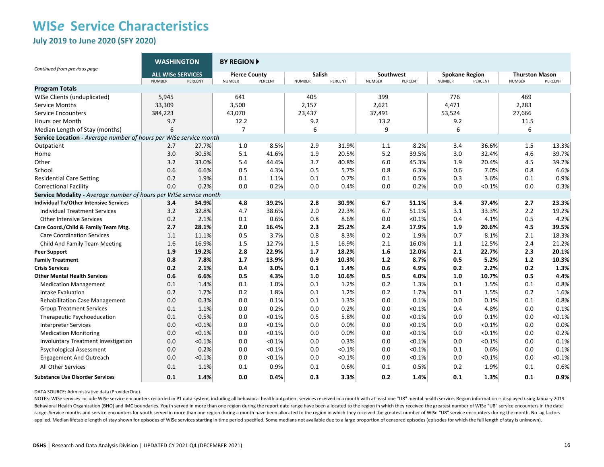**July 2019 to June 2020 (SFY 2020)**

|                                                                   | <b>WASHINGTON</b>                                    |        | <b>BY REGION A</b>                               |        |                                    |        |                                       |           |                                                   |           |                                                   |        |
|-------------------------------------------------------------------|------------------------------------------------------|--------|--------------------------------------------------|--------|------------------------------------|--------|---------------------------------------|-----------|---------------------------------------------------|-----------|---------------------------------------------------|--------|
| Continued from previous page                                      | <b>ALL WISe SERVICES</b><br><b>NUMBER</b><br>PERCENT |        | <b>Pierce County</b><br>PERCENT<br><b>NUMBER</b> |        | Salish<br><b>NUMBER</b><br>PERCENT |        | Southwest<br><b>NUMBER</b><br>PERCENT |           | <b>Spokane Region</b><br><b>NUMBER</b><br>PERCENT |           | <b>Thurston Mason</b><br>PERCENT<br><b>NUMBER</b> |        |
| <b>Program Totals</b>                                             |                                                      |        |                                                  |        |                                    |        |                                       |           |                                                   |           |                                                   |        |
| WISe Clients (unduplicated)                                       | 5,945                                                |        | 641                                              |        | 405                                |        | 399                                   |           | 776                                               |           | 469                                               |        |
| Service Months                                                    | 33,309                                               |        | 3,500                                            |        | 2,157                              |        | 2,621                                 |           | 4,471                                             |           | 2,283                                             |        |
| <b>Service Encounters</b>                                         | 384,223                                              |        | 43,070                                           |        | 23,437                             |        | 37,491                                |           | 53,524                                            |           | 27,666                                            |        |
| Hours per Month                                                   | 9.7                                                  |        | 12.2                                             |        | 9.2                                |        | 13.2                                  |           | 9.2                                               |           | 11.5                                              |        |
| Median Length of Stay (months)                                    | 6                                                    |        | 7                                                |        | 6                                  |        | 9                                     |           | 6                                                 |           | 6                                                 |        |
| Service Location - Average number of hours per WISe service month |                                                      |        |                                                  |        |                                    |        |                                       |           |                                                   |           |                                                   |        |
| Outpatient                                                        | 2.7                                                  | 27.7%  | 1.0                                              | 8.5%   | 2.9                                | 31.9%  | 1.1                                   | 8.2%      | 3.4                                               | 36.6%     | 1.5                                               | 13.3%  |
| Home                                                              | 3.0                                                  | 30.5%  | 5.1                                              | 41.6%  | 1.9                                | 20.5%  | 5.2                                   | 39.5%     | 3.0                                               | 32.4%     | 4.6                                               | 39.7%  |
| Other                                                             | 3.2                                                  | 33.0%  | 5.4                                              | 44.4%  | 3.7                                | 40.8%  | 6.0                                   | 45.3%     | 1.9                                               | 20.4%     | 4.5                                               | 39.2%  |
| School                                                            | 0.6                                                  | 6.6%   | 0.5                                              | 4.3%   | 0.5                                | 5.7%   | 0.8                                   | 6.3%      | 0.6                                               | 7.0%      | 0.8                                               | 6.6%   |
| <b>Residential Care Setting</b>                                   | 0.2                                                  | 1.9%   | 0.1                                              | 1.1%   | 0.1                                | 0.7%   | 0.1                                   | 0.5%      | 0.3                                               | 3.6%      | 0.1                                               | 0.9%   |
| <b>Correctional Facility</b>                                      | 0.0                                                  | 0.2%   | 0.0                                              | 0.2%   | 0.0                                | 0.4%   | 0.0                                   | 0.2%      | 0.0                                               | $< 0.1\%$ | 0.0                                               | 0.3%   |
| Service Modality - Average number of hours per WISe service month |                                                      |        |                                                  |        |                                    |        |                                       |           |                                                   |           |                                                   |        |
| Individual Tx/Other Intensive Services                            | 3.4                                                  | 34.9%  | 4.8                                              | 39.2%  | 2.8                                | 30.9%  | 6.7                                   | 51.1%     | 3.4                                               | 37.4%     | 2.7                                               | 23.3%  |
| <b>Individual Treatment Services</b>                              | 3.2                                                  | 32.8%  | 4.7                                              | 38.6%  | 2.0                                | 22.3%  | 6.7                                   | 51.1%     | 3.1                                               | 33.3%     | 2.2                                               | 19.2%  |
| Other Intensive Services                                          | 0.2                                                  | 2.1%   | 0.1                                              | 0.6%   | 0.8                                | 8.6%   | 0.0                                   | < 0.1%    | 0.4                                               | 4.1%      | 0.5                                               | 4.2%   |
| Care Coord./Child & Family Team Mtg.                              | 2.7                                                  | 28.1%  | 2.0                                              | 16.4%  | 2.3                                | 25.2%  | 2.4                                   | 17.9%     | 1.9                                               | 20.6%     | 4.5                                               | 39.5%  |
| <b>Care Coordination Services</b>                                 | 1.1                                                  | 11.1%  | 0.5                                              | 3.7%   | 0.8                                | 8.3%   | 0.2                                   | 1.9%      | 0.7                                               | 8.1%      | 2.1                                               | 18.3%  |
| Child And Family Team Meeting                                     | 1.6                                                  | 16.9%  | 1.5                                              | 12.7%  | 1.5                                | 16.9%  | 2.1                                   | 16.0%     | 1.1                                               | 12.5%     | 2.4                                               | 21.2%  |
| Peer Support                                                      | 1.9                                                  | 19.2%  | 2.8                                              | 22.9%  | 1.7                                | 18.2%  | 1.6                                   | 12.0%     | 2.1                                               | 22.7%     | 2.3                                               | 20.1%  |
| <b>Family Treatment</b>                                           | 0.8                                                  | 7.8%   | 1.7                                              | 13.9%  | 0.9                                | 10.3%  | $1.2$                                 | 8.7%      | 0.5                                               | 5.2%      | $1.2$                                             | 10.3%  |
| <b>Crisis Services</b>                                            | 0.2                                                  | 2.1%   | 0.4                                              | 3.0%   | 0.1                                | 1.4%   | 0.6                                   | 4.9%      | 0.2                                               | 2.2%      | 0.2                                               | 1.3%   |
| <b>Other Mental Health Services</b>                               | 0.6                                                  | 6.6%   | 0.5                                              | 4.3%   | 1.0                                | 10.6%  | 0.5                                   | 4.0%      | 1.0                                               | 10.7%     | 0.5                                               | 4.4%   |
| <b>Medication Management</b>                                      | 0.1                                                  | 1.4%   | 0.1                                              | 1.0%   | 0.1                                | 1.2%   | 0.2                                   | 1.3%      | 0.1                                               | 1.5%      | 0.1                                               | 0.8%   |
| Intake Evaluation                                                 | 0.2                                                  | 1.7%   | 0.2                                              | 1.8%   | 0.1                                | 1.2%   | 0.2                                   | 1.7%      | 0.1                                               | 1.5%      | 0.2                                               | 1.6%   |
| <b>Rehabilitation Case Management</b>                             | 0.0                                                  | 0.3%   | 0.0                                              | 0.1%   | 0.1                                | 1.3%   | 0.0                                   | 0.1%      | 0.0                                               | 0.1%      | 0.1                                               | 0.8%   |
| <b>Group Treatment Services</b>                                   | 0.1                                                  | 1.1%   | 0.0                                              | 0.2%   | 0.0                                | 0.2%   | 0.0                                   | < 0.1%    | 0.4                                               | 4.8%      | 0.0                                               | 0.1%   |
| Therapeutic Psychoeducation                                       | 0.1                                                  | 0.5%   | 0.0                                              | < 0.1% | 0.5                                | 5.8%   | 0.0                                   | < 0.1%    | 0.0                                               | 0.1%      | 0.0                                               | < 0.1% |
| <b>Interpreter Services</b>                                       | 0.0                                                  | < 0.1% | 0.0                                              | < 0.1% | 0.0                                | 0.0%   | 0.0                                   | < 0.1%    | 0.0                                               | < 0.1%    | 0.0                                               | 0.0%   |
| <b>Medication Monitoring</b>                                      | 0.0                                                  | < 0.1% | 0.0                                              | < 0.1% | 0.0                                | 0.0%   | 0.0                                   | $< 0.1\%$ | 0.0                                               | < 0.1%    | 0.0                                               | 0.2%   |
| <b>Involuntary Treatment Investigation</b>                        | 0.0                                                  | < 0.1% | 0.0                                              | < 0.1% | 0.0                                | 0.3%   | 0.0                                   | < 0.1%    | 0.0                                               | < 0.1%    | 0.0                                               | 0.1%   |
| <b>Psychological Assessment</b>                                   | 0.0                                                  | 0.2%   | 0.0                                              | < 0.1% | 0.0                                | < 0.1% | 0.0                                   | < 0.1%    | 0.1                                               | 0.6%      | 0.0                                               | 0.1%   |
| <b>Engagement And Outreach</b>                                    | 0.0                                                  | < 0.1% | 0.0                                              | < 0.1% | 0.0                                | < 0.1% | 0.0                                   | < 0.1%    | 0.0                                               | < 0.1%    | 0.0                                               | < 0.1% |
| All Other Services                                                | 0.1                                                  | 1.1%   | 0.1                                              | 0.9%   | 0.1                                | 0.6%   | 0.1                                   | 0.5%      | 0.2                                               | 1.9%      | 0.1                                               | 0.6%   |
| <b>Substance Use Disorder Services</b>                            | 0.1                                                  | 1.4%   | 0.0                                              | 0.4%   | 0.3                                | 3.3%   | 0.2                                   | 1.4%      | 0.1                                               | 1.3%      | 0.1                                               | 0.9%   |

#### DATA SOURCE: Administrative data (ProviderOne).

NOTES: WISe services include WISe service encounters recorded in P1 data system, including all behavioral health outpatient services received in a month with at least one "U8" mental health service. Region information is d Behavioral Health Organization (BHO) and IMC boundaries. Youth served in more than one region during the report date range have been allocated to the region in which they received the greatest number of WISe "U8" service e range. Service months and service encounters for youth served in more than one region during a month have been allocated to the region in which they received the greatest number of WISe "U8" service encounters during the m applied. Median lifetable length of stay shown for episodes of WISe services starting in time period specified. Some medians not available due to a large proportion of censored episodes (episodes for which the full length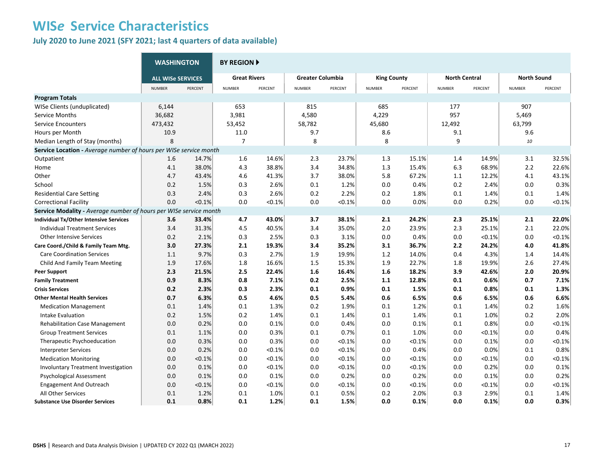**July 2020 to June 2021 (SFY 2021; last 4 quarters of data available)**

|                                                                   | <b>WASHINGTON</b>        |         | <b>BY REGION ▶</b>  |           |                         |           |                    |         |                      |           |                    |           |  |
|-------------------------------------------------------------------|--------------------------|---------|---------------------|-----------|-------------------------|-----------|--------------------|---------|----------------------|-----------|--------------------|-----------|--|
|                                                                   | <b>ALL WISE SERVICES</b> |         | <b>Great Rivers</b> |           | <b>Greater Columbia</b> |           | <b>King County</b> |         | <b>North Central</b> |           | <b>North Sound</b> |           |  |
|                                                                   | <b>NUMBER</b>            | PERCENT | <b>NUMBER</b>       | PERCENT   | <b>NUMBER</b>           | PERCENT   | <b>NUMBER</b>      | PERCENT | <b>NUMBER</b>        | PERCENT   | <b>NUMBER</b>      | PERCENT   |  |
| <b>Program Totals</b>                                             |                          |         |                     |           |                         |           |                    |         |                      |           |                    |           |  |
| WISe Clients (unduplicated)                                       | 6,144                    |         | 653                 |           | 815                     |           | 685                |         | 177                  |           | 907                |           |  |
| Service Months                                                    | 36,682                   |         | 3,981               |           | 4,580                   |           | 4,229              |         | 957                  |           | 5,469              |           |  |
| <b>Service Encounters</b>                                         | 473,432                  |         | 53,452              |           | 58,782                  |           | 45,680             |         | 12,492               |           | 63,799             |           |  |
| Hours per Month                                                   | 10.9                     |         | 11.0                |           | 9.7                     |           | 8.6                |         | 9.1                  |           | 9.6                |           |  |
| Median Length of Stay (months)                                    | 8                        |         | $\overline{7}$      |           | 8                       |           | 8                  |         | 9                    |           | 10                 |           |  |
| Service Location - Average number of hours per WISe service month |                          |         |                     |           |                         |           |                    |         |                      |           |                    |           |  |
| Outpatient                                                        | 1.6                      | 14.7%   | 1.6                 | 14.6%     | 2.3                     | 23.7%     | 1.3                | 15.1%   | 1.4                  | 14.9%     | 3.1                | 32.5%     |  |
| Home                                                              | 4.1                      | 38.0%   | 4.3                 | 38.8%     | 3.4                     | 34.8%     | 1.3                | 15.4%   | 6.3                  | 68.9%     | 2.2                | 22.6%     |  |
| Other                                                             | 4.7                      | 43.4%   | 4.6                 | 41.3%     | 3.7                     | 38.0%     | 5.8                | 67.2%   | 1.1                  | 12.2%     | 4.1                | 43.1%     |  |
| School                                                            | 0.2                      | 1.5%    | 0.3                 | 2.6%      | 0.1                     | 1.2%      | 0.0                | 0.4%    | 0.2                  | 2.4%      | 0.0                | 0.3%      |  |
| <b>Residential Care Setting</b>                                   | 0.3                      | 2.4%    | 0.3                 | 2.6%      | 0.2                     | 2.2%      | 0.2                | 1.8%    | 0.1                  | 1.4%      | 0.1                | 1.4%      |  |
| <b>Correctional Facility</b>                                      | 0.0                      | < 0.1%  | 0.0                 | $< 0.1\%$ | 0.0                     | < 0.1%    | 0.0                | 0.0%    | 0.0                  | 0.2%      | 0.0                | < 0.1%    |  |
| Service Modality - Average number of hours per WISe service month |                          |         |                     |           |                         |           |                    |         |                      |           |                    |           |  |
| Individual Tx/Other Intensive Services                            | 3.6                      | 33.4%   | 4.7                 | 43.0%     | 3.7                     | 38.1%     | 2.1                | 24.2%   | 2.3                  | 25.1%     | 2.1                | 22.0%     |  |
| <b>Individual Treatment Services</b>                              | 3.4                      | 31.3%   | 4.5                 | 40.5%     | 3.4                     | 35.0%     | 2.0                | 23.9%   | 2.3                  | 25.1%     | 2.1                | 22.0%     |  |
| <b>Other Intensive Services</b>                                   | 0.2                      | 2.1%    | 0.3                 | 2.5%      | 0.3                     | 3.1%      | 0.0                | 0.4%    | 0.0                  | < 0.1%    | 0.0                | $< 0.1\%$ |  |
| Care Coord./Child & Family Team Mtg.                              | 3.0                      | 27.3%   | 2.1                 | 19.3%     | 3.4                     | 35.2%     | 3.1                | 36.7%   | 2.2                  | 24.2%     | 4.0                | 41.8%     |  |
| <b>Care Coordination Services</b>                                 | 1.1                      | 9.7%    | 0.3                 | 2.7%      | 1.9                     | 19.9%     | 1.2                | 14.0%   | 0.4                  | 4.3%      | 1.4                | 14.4%     |  |
| Child And Family Team Meeting                                     | 1.9                      | 17.6%   | 1.8                 | 16.6%     | 1.5                     | 15.3%     | 1.9                | 22.7%   | 1.8                  | 19.9%     | 2.6                | 27.4%     |  |
| <b>Peer Support</b>                                               | 2.3                      | 21.5%   | 2.5                 | 22.4%     | 1.6                     | 16.4%     | 1.6                | 18.2%   | 3.9                  | 42.6%     | 2.0                | 20.9%     |  |
| <b>Family Treatment</b>                                           | 0.9                      | 8.3%    | 0.8                 | 7.1%      | 0.2                     | 2.5%      | 1.1                | 12.8%   | 0.1                  | 0.6%      | 0.7                | 7.1%      |  |
| <b>Crisis Services</b>                                            | 0.2                      | 2.3%    | 0.3                 | 2.3%      | 0.1                     | 0.9%      | 0.1                | 1.5%    | 0.1                  | 0.8%      | 0.1                | 1.3%      |  |
| <b>Other Mental Health Services</b>                               | 0.7                      | 6.3%    | 0.5                 | 4.6%      | 0.5                     | 5.4%      | 0.6                | 6.5%    | 0.6                  | 6.5%      | 0.6                | 6.6%      |  |
| <b>Medication Management</b>                                      | 0.1                      | 1.4%    | 0.1                 | 1.3%      | 0.2                     | 1.9%      | 0.1                | 1.2%    | 0.1                  | 1.4%      | 0.2                | 1.6%      |  |
| Intake Evaluation                                                 | 0.2                      | 1.5%    | 0.2                 | 1.4%      | 0.1                     | 1.4%      | 0.1                | 1.4%    | 0.1                  | 1.0%      | 0.2                | 2.0%      |  |
| <b>Rehabilitation Case Management</b>                             | 0.0                      | 0.2%    | 0.0                 | 0.1%      | 0.0                     | 0.4%      | 0.0                | 0.1%    | 0.1                  | 0.8%      | 0.0                | < 0.1%    |  |
| <b>Group Treatment Services</b>                                   | 0.1                      | 1.1%    | 0.0                 | 0.3%      | 0.1                     | 0.7%      | 0.1                | 1.0%    | 0.0                  | < 0.1%    | 0.0                | 0.4%      |  |
| Therapeutic Psychoeducation                                       | 0.0                      | 0.3%    | 0.0                 | 0.3%      | 0.0                     | $< 0.1\%$ | 0.0                | < 0.1%  | 0.0                  | 0.1%      | 0.0                | < 0.1%    |  |
| <b>Interpreter Services</b>                                       | 0.0                      | 0.2%    | 0.0                 | < 0.1%    | 0.0                     | $< 0.1\%$ | 0.0                | 0.4%    | 0.0                  | 0.0%      | 0.1                | 0.8%      |  |
| <b>Medication Monitoring</b>                                      | 0.0                      | < 0.1%  | 0.0                 | < 0.1%    | 0.0                     | < 0.1%    | 0.0                | < 0.1%  | 0.0                  | $< 0.1\%$ | 0.0                | < 0.1%    |  |
| Involuntary Treatment Investigation                               | 0.0                      | 0.1%    | 0.0                 | < 0.1%    | 0.0                     | < 0.1%    | 0.0                | < 0.1%  | 0.0                  | 0.2%      | 0.0                | 0.1%      |  |
| Psychological Assessment                                          | 0.0                      | 0.1%    | 0.0                 | 0.1%      | 0.0                     | 0.2%      | 0.0                | 0.2%    | 0.0                  | 0.1%      | 0.0                | 0.2%      |  |
| <b>Engagement And Outreach</b>                                    | 0.0                      | < 0.1%  | 0.0                 | < 0.1%    | 0.0                     | < 0.1%    | 0.0                | < 0.1%  | 0.0                  | < 0.1%    | 0.0                | < 0.1%    |  |
| All Other Services                                                | 0.1                      | 1.2%    | 0.1                 | 1.0%      | 0.1                     | 0.5%      | 0.2                | 2.0%    | 0.3                  | 2.9%      | 0.1                | 1.4%      |  |
| <b>Substance Use Disorder Services</b>                            | 0.1                      | 0.8%    | 0.1                 | 1.2%      | 0.1                     | 1.5%      | 0.0                | 0.1%    | 0.0                  | 0.1%      | 0.0                | 0.3%      |  |